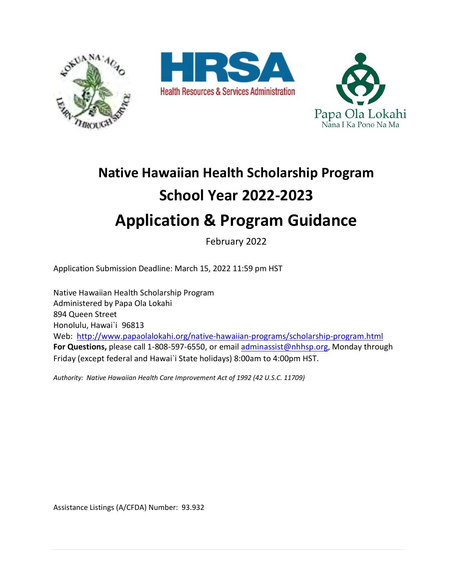





# **Native Hawaiian Health Scholarship Program School Year 2022-2023 Application & Program Guidance**

February 2022

Application Submission Deadline: March 15, 2022 11:59 pm HST

Native Hawaiian Health Scholarship Program Administered by Papa Ola Lokahi 894 Queen Street Honolulu, Hawai`i 96813 Web: <http://www.papaolalokahi.org/native-hawaiian-programs/scholarship-program.html> **For Questions,** please call 1-808-597-6550, or email [adminassist@nhhsp.org,](mailto:adminassist@nhhsp.org) Monday through Friday (except federal and Hawai`i State holidays) 8:00am to 4:00pm HST.

*Authority: Native Hawaiian Health Care Improvement Act of 1992 (42 U.S.C. 11709)* 

Assistance Listings (A/CFDA) Number: 93.932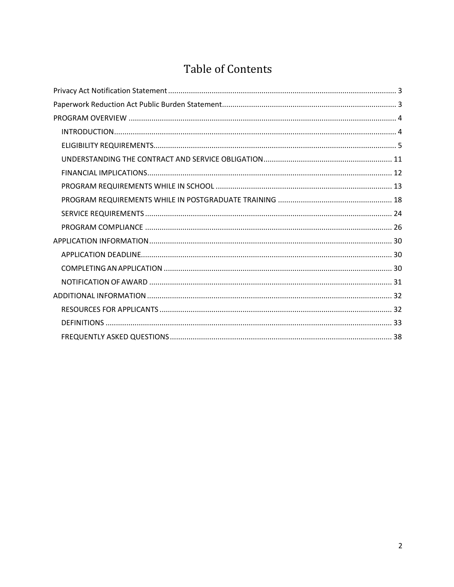# **Table of Contents**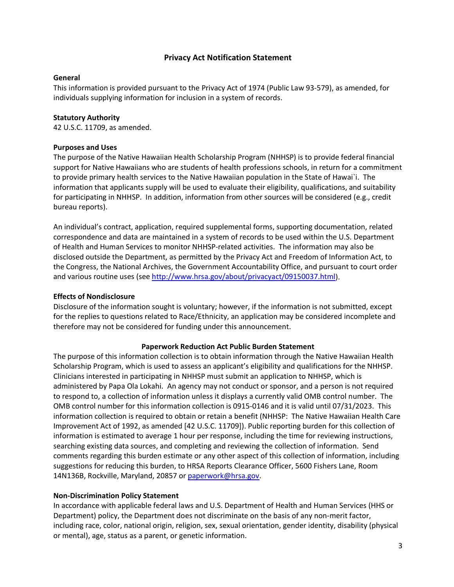# **Privacy Act Notification Statement**

#### <span id="page-2-0"></span>**General**

This information is provided pursuant to the Privacy Act of 1974 (Public Law 93-579), as amended, for individuals supplying information for inclusion in a system of records.

#### **Statutory Authority**

42 U.S.C. 11709, as amended.

#### **Purposes and Uses**

The purpose of the Native Hawaiian Health Scholarship Program (NHHSP) is to provide federal financial support for Native Hawaiians who are students of health professions schools, in return for a commitment to provide primary health services to the Native Hawaiian population in the State of Hawai`i. The information that applicants supply will be used to evaluate their eligibility, qualifications, and suitability for participating in NHHSP. In addition, information from other sources will be considered (e.g., credit bureau reports).

An individual's contract, application, required supplemental forms, supporting documentation, related correspondence and data are maintained in a system of records to be used within the U.S. Department of Health and Human Services to monitor NHHSP-related activities. The information may also be disclosed outside the Department, as permitted by the Privacy Act and Freedom of Information Act, to the Congress, the National Archives, the Government Accountability Office, and pursuant to court order and various routine uses (see [http://www.hrsa.gov/about/privacyact/09150037.html\)](http://www.hrsa.gov/about/privacyact/09150037.html).

#### **Effects of Nondisclosure**

Disclosure of the information sought is voluntary; however, if the information is not submitted, except for the replies to questions related to Race/Ethnicity, an application may be considered incomplete and therefore may not be considered for funding under this announcement.

#### **Paperwork Reduction Act Public Burden Statement**

<span id="page-2-1"></span>The purpose of this information collection is to obtain information through the Native Hawaiian Health Scholarship Program, which is used to assess an applicant's eligibility and qualifications for the NHHSP. Clinicians interested in participating in NHHSP must submit an application to NHHSP, which is administered by Papa Ola Lokahi. An agency may not conduct or sponsor, and a person is not required to respond to, a collection of information unless it displays a currently valid OMB control number. The OMB control number for this information collection is 0915-0146 and it is valid until 07/31/2023. This information collection is required to obtain or retain a benefit (NHHSP: The Native Hawaiian Health Care Improvement Act of 1992, as amended [42 U.S.C. 11709]). Public reporting burden for this collection of information is estimated to average 1 hour per response, including the time for reviewing instructions, searching existing data sources, and completing and reviewing the collection of information. Send comments regarding this burden estimate or any other aspect of this collection of information, including suggestions for reducing this burden, to HRSA Reports Clearance Officer, 5600 Fishers Lane, Room 14N136B, Rockville, Maryland, 20857 or [paperwork@hrsa.gov.](mailto:paperwork@hrsa.gov)

#### **Non-Discrimination Policy Statement**

In accordance with applicable federal laws and U.S. Department of Health and Human Services (HHS or Department) policy, the Department does not discriminate on the basis of any non-merit factor, including race, color, national origin, religion, sex, sexual orientation, gender identity, disability (physical or mental), age, status as a parent, or genetic information.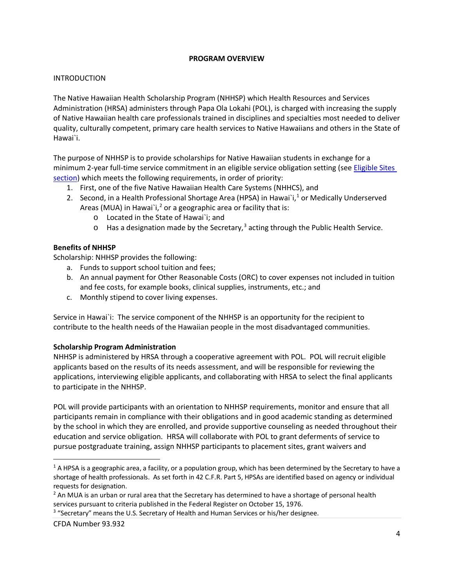#### **PROGRAM OVERVIEW**

#### <span id="page-3-1"></span><span id="page-3-0"></span>INTRODUCTION

The Native Hawaiian Health Scholarship Program (NHHSP) which Health Resources and Services Administration (HRSA) administers through Papa Ola Lokahi (POL), is charged with increasing the supply of Native Hawaiian health care professionals trained in disciplines and specialties most needed to deliver quality, culturally competent, primary care health services to Native Hawaiians and others in the State of Hawai`i.

The purpose of NHHSP is to provide scholarships for Native Hawaiian students in exchange for a minimum 2-year full-time service commitment in an eligible service obligation setting (see [Eligible Sites](#page-23-1) [section\)](#page-23-1) which meets the following requirements, in order of priority:

- 1. First, one of the five Native Hawaiian Health Care Systems (NHHCS), and
- 2. Second, in a Health Professional Shortage Area (HPSA) in Hawai`i,<sup>[1](#page-3-2)</sup> or Medically Underserved Areas (MUA) in Hawai`i,<sup>[2](#page-3-3)</sup> or a geographic area or facility that is:
	- o Located in the State of Hawai`i; and
	- $\circ$  Has a designation made by the Secretary,<sup>[3](#page-3-4)</sup> acting through the Public Health Service.

# **Benefits of NHHSP**

Scholarship: NHHSP provides the following:

- a. Funds to support school tuition and fees;
- b. An annual payment for Other Reasonable Costs (ORC) to cover expenses not included in tuition and fee costs, for example books, clinical supplies, instruments, etc.; and
- c. Monthly stipend to cover living expenses.

Service in Hawai`i: The service component of the NHHSP is an opportunity for the recipient to contribute to the health needs of the Hawaiian people in the most disadvantaged communities.

#### **Scholarship Program Administration**

NHHSP is administered by HRSA through a cooperative agreement with POL. POL will recruit eligible applicants based on the results of its needs assessment, and will be responsible for reviewing the applications, interviewing eligible applicants, and collaborating with HRSA to select the final applicants to participate in the NHHSP.

POL will provide participants with an orientation to NHHSP requirements, monitor and ensure that all participants remain in compliance with their obligations and in good academic standing as determined by the school in which they are enrolled, and provide supportive counseling as needed throughout their education and service obligation. HRSA will collaborate with POL to grant deferments of service to pursue postgraduate training, assign NHHSP participants to placement sites, grant waivers and

<span id="page-3-4"></span><sup>3</sup> "Secretary" means the U.S. Secretary of Health and Human Services or his/her designee.

 $\overline{a}$ 

<span id="page-3-2"></span> $^1$  A HPSA is a geographic area, a facility, or a population group, which has been determined by the Secretary to have a shortage of health professionals. As set forth in 42 C.F.R. Part 5, HPSAs are identified based on agency or individual requests for designation.

<span id="page-3-3"></span><sup>&</sup>lt;sup>2</sup> An MUA is an urban or rural area that the Secretary has determined to have a shortage of personal health services pursuant to criteria published in the Federal Register on October 15, 1976.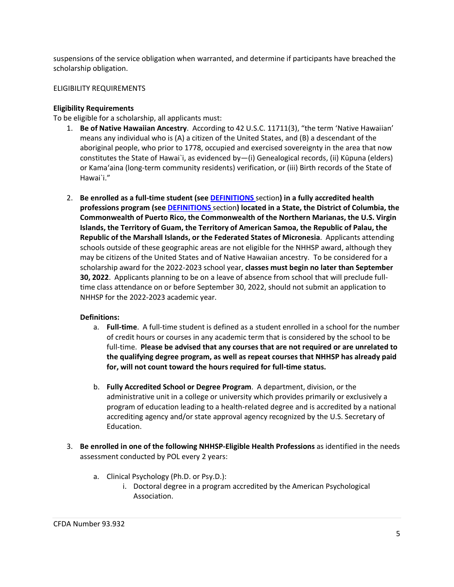suspensions of the service obligation when warranted, and determine if participants have breached the scholarship obligation.

# <span id="page-4-0"></span>ELIGIBILITY REQUIREMENTS

# **Eligibility Requirements**

To be eligible for a scholarship, all applicants must:

- 1. **Be of Native Hawaiian Ancestry**. According to 42 U.S.C. 11711(3), "the term 'Native Hawaiian' means any individual who is (A) a citizen of the United States, and (B) a descendant of the aboriginal people, who prior to 1778, occupied and exercised sovereignty in the area that now constitutes the State of Hawai`i, as evidenced by—(i) Genealogical records, (ii) Kūpuna (elders) or Kama'aina (long-term community residents) verification, or (iii) Birth records of the State of Hawai`i."
- 2. **Be enrolled as a full-time student (see [DEFINITIONS](#page-32-0)** section**) in a fully accredited health professions program (see [DEFINITIONS](#page-32-0)** section**) located in a State, the District of Columbia, the Commonwealth of Puerto Rico, the Commonwealth of the Northern Marianas, the U.S. Virgin Islands, the Territory of Guam, the Territory of American Samoa, the Republic of Palau, the Republic of the Marshall Islands, or the Federated States of Micronesia**. Applicants attending schools outside of these geographic areas are not eligible for the NHHSP award, although they may be citizens of the United States and of Native Hawaiian ancestry. To be considered for a scholarship award for the 2022-2023 school year, **classes must begin no later than September 30, 2022**. Applicants planning to be on a leave of absence from school that will preclude fulltime class attendance on or before September 30, 2022, should not submit an application to NHHSP for the 2022-2023 academic year.

#### **Definitions:**

- a. **Full-time**. A full-time student is defined as a student enrolled in a school for the number of credit hours or courses in any academic term that is considered by the school to be full-time. **Please be advised that any courses that are not required or are unrelated to the qualifying degree program, as well as repeat courses that NHHSP has already paid for, will not count toward the hours required for full-time status.**
- b. **Fully Accredited School or Degree Program**. A department, division, or the administrative unit in a college or university which provides primarily or exclusively a program of education leading to a health-related degree and is accredited by a national accrediting agency and/or state approval agency recognized by the U.S. Secretary of Education.
- 3. **Be enrolled in one of the following NHHSP-Eligible Health Professions** as identified in the needs assessment conducted by POL every 2 years:
	- a. Clinical Psychology (Ph.D. or Psy.D.):
		- i. Doctoral degree in a program accredited by the American Psychological Association.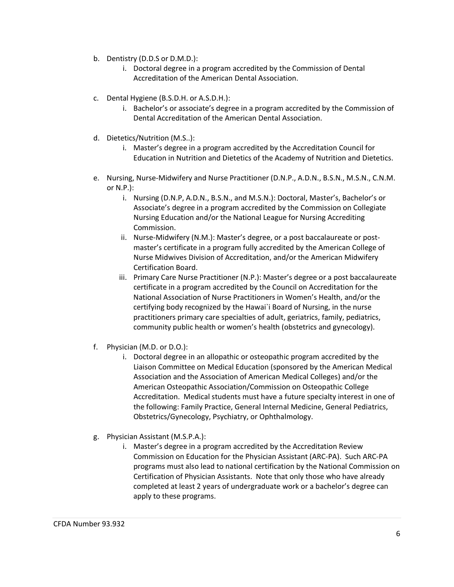- b. Dentistry (D.D.S or D.M.D.):
	- i. Doctoral degree in a program accredited by the Commission of Dental Accreditation of the American Dental Association.
- c. Dental Hygiene (B.S.D.H. or A.S.D.H.):
	- i. Bachelor's or associate's degree in a program accredited by the Commission of Dental Accreditation of the American Dental Association.
- d. Dietetics/Nutrition (M.S..):
	- i. Master's degree in a program accredited by the Accreditation Council for Education in Nutrition and Dietetics of the Academy of Nutrition and Dietetics.
- e. Nursing, Nurse-Midwifery and Nurse Practitioner (D.N.P., A.D.N., B.S.N., M.S.N., C.N.M. or N.P.):
	- i. Nursing (D.N.P, A.D.N., B.S.N., and M.S.N.): Doctoral, Master's, Bachelor's or Associate's degree in a program accredited by the Commission on Collegiate Nursing Education and/or the National League for Nursing Accrediting Commission.
	- ii. Nurse-Midwifery (N.M.): Master's degree, or a post baccalaureate or postmaster's certificate in a program fully accredited by the American College of Nurse Midwives Division of Accreditation, and/or the American Midwifery Certification Board.
	- iii. Primary Care Nurse Practitioner (N.P.): Master's degree or a post baccalaureate certificate in a program accredited by the Council on Accreditation for the National Association of Nurse Practitioners in Women's Health, and/or the certifying body recognized by the Hawai`i Board of Nursing, in the nurse practitioners primary care specialties of adult, geriatrics, family, pediatrics, community public health or women's health (obstetrics and gynecology).
- f. Physician (M.D. or D.O.):
	- i. Doctoral degree in an allopathic or osteopathic program accredited by the Liaison Committee on Medical Education (sponsored by the American Medical Association and the Association of American Medical Colleges) and/or the American Osteopathic Association/Commission on Osteopathic College Accreditation. Medical students must have a future specialty interest in one of the following: Family Practice, General Internal Medicine, General Pediatrics, Obstetrics/Gynecology, Psychiatry, or Ophthalmology.
- g. Physician Assistant (M.S.P.A.):
	- i. Master's degree in a program accredited by the Accreditation Review Commission on Education for the Physician Assistant (ARC-PA). Such ARC-PA programs must also lead to national certification by the National Commission on Certification of Physician Assistants. Note that only those who have already completed at least 2 years of undergraduate work or a bachelor's degree can apply to these programs.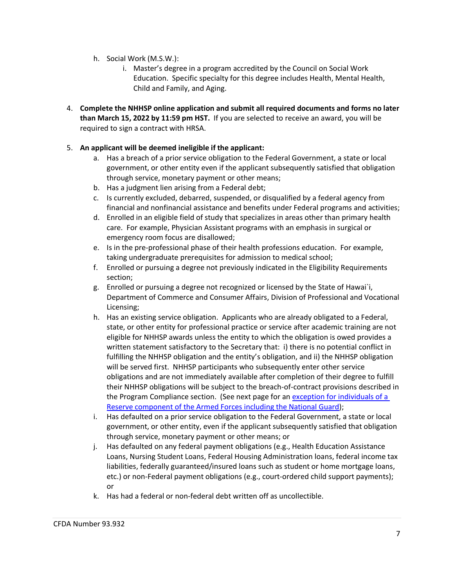- h. Social Work (M.S.W.):
	- i. Master's degree in a program accredited by the Council on Social Work Education. Specific specialty for this degree includes Health, Mental Health, Child and Family, and Aging.
- 4. **Complete the NHHSP online application and submit all required documents and forms no later than March 15, 2022 by 11:59 pm HST.** If you are selected to receive an award, you will be required to sign a contract with HRSA.

# 5. **An applicant will be deemed ineligible if the applicant:**

- a. Has a breach of a prior service obligation to the Federal Government, a state or local government, or other entity even if the applicant subsequently satisfied that obligation through service, monetary payment or other means;
- b. Has a judgment lien arising from a Federal debt;
- c. Is currently excluded, debarred, suspended, or disqualified by a federal agency from financial and nonfinancial assistance and benefits under Federal programs and activities;
- d. Enrolled in an eligible field of study that specializes in areas other than primary health care. For example, Physician Assistant programs with an emphasis in surgical or emergency room focus are disallowed;
- e. Is in the pre-professional phase of their health professions education. For example, taking undergraduate prerequisites for admission to medical school;
- f. Enrolled or pursuing a degree not previously indicated in the Eligibility Requirements section;
- g. Enrolled or pursuing a degree not recognized or licensed by the State of Hawai`i, Department of Commerce and Consumer Affairs, Division of Professional and Vocational Licensing;
- h. Has an existing service obligation. Applicants who are already obligated to a Federal, state, or other entity for professional practice or service after academic training are not eligible for NHHSP awards unless the entity to which the obligation is owed provides a written statement satisfactory to the Secretary that: i) there is no potential conflict in fulfilling the NHHSP obligation and the entity's obligation, and ii) the NHHSP obligation will be served first. NHHSP participants who subsequently enter other service obligations and are not immediately available after completion of their degree to fulfill their NHHSP obligations will be subject to the breach-of-contract provisions described in the Program Compliance section. (See next page for an [exception for individuals of a](#page-7-0)  [Reserve component of the Armed Forces including the National Guard\)](#page-7-0);
- i. Has defaulted on a prior service obligation to the Federal Government, a state or local government, or other entity, even if the applicant subsequently satisfied that obligation through service, monetary payment or other means; or
- j. Has defaulted on any federal payment obligations (e.g., Health Education Assistance Loans, Nursing Student Loans, Federal Housing Administration loans, federal income tax liabilities, federally guaranteed/insured loans such as student or home mortgage loans, etc.) or non-Federal payment obligations (e.g., court-ordered child support payments); or
- k. Has had a federal or non-federal debt written off as uncollectible.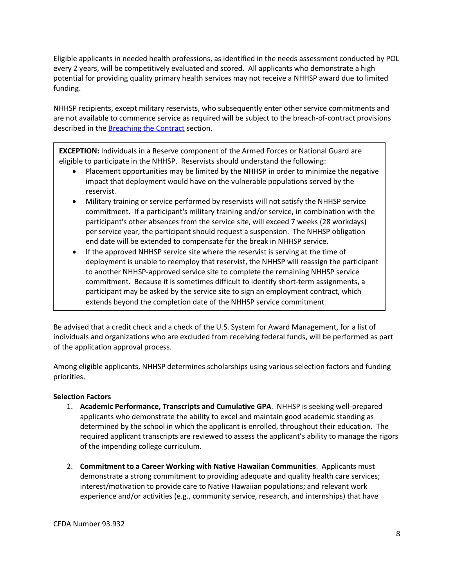Eligible applicants in needed health professions, as identified in the needs assessment conducted by POL every 2 years, will be competitively evaluated and scored. All applicants who demonstrate a high potential for providing quality primary health services may not receive a NHHSP award due to limited funding.

NHHSP recipients, except military reservists, who subsequently enter other service commitments and are not available to commence service as required will be subject to the breach-of-contract provisions described in the **[Breaching the Contract](#page-25-1)** section.

<span id="page-7-0"></span>**EXCEPTION:** Individuals in a Reserve component of the Armed Forces or National Guard are eligible to participate in the NHHSP. Reservists should understand the following:

- Placement opportunities may be limited by the NHHSP in order to minimize the negative impact that deployment would have on the vulnerable populations served by the reservist.
- Military training or service performed by reservists will not satisfy the NHHSP service commitment. If a participant's military training and/or service, in combination with the participant's other absences from the service site, will exceed 7 weeks (28 workdays) per service year, the participant should request a suspension. The NHHSP obligation end date will be extended to compensate for the break in NHHSP service.
- If the approved NHHSP service site where the reservist is serving at the time of deployment is unable to reemploy that reservist, the NHHSP will reassign the participant to another NHHSP-approved service site to complete the remaining NHHSP service commitment. Because it is sometimes difficult to identify short-term assignments, a participant may be asked by the service site to sign an employment contract, which extends beyond the completion date of the NHHSP service commitment.

Be advised that a credit check and a check of the U.S. System for Award Management, for a list of individuals and organizations who are excluded from receiving federal funds, will be performed as part of the application approval process.

Among eligible applicants, NHHSP determines scholarships using various selection factors and funding priorities.

# **Selection Factors**

- 1. **Academic Performance, Transcripts and Cumulative GPA**. NHHSP is seeking well-prepared applicants who demonstrate the ability to excel and maintain good academic standing as determined by the school in which the applicant is enrolled, throughout their education. The required applicant transcripts are reviewed to assess the applicant's ability to manage the rigors of the impending college curriculum.
- 2. **Commitment to a Career Working with Native Hawaiian Communities**. Applicants must demonstrate a strong commitment to providing adequate and quality health care services; interest/motivation to provide care to Native Hawaiian populations; and relevant work experience and/or activities (e.g., community service, research, and internships) that have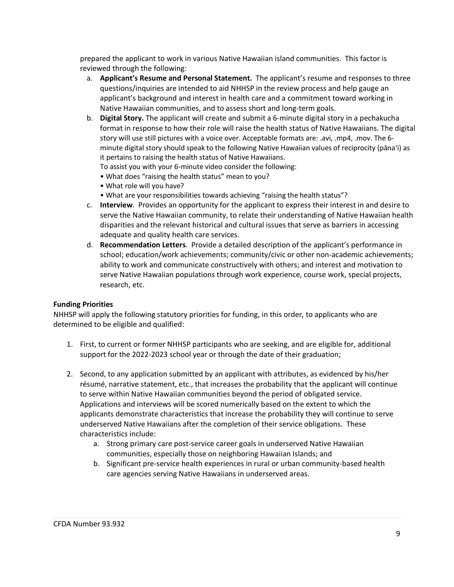prepared the applicant to work in various Native Hawaiian island communities. This factor is reviewed through the following:

- a. **Applicant's Resume and Personal Statement.** The applicant's resume and responses to three questions/inquiries are intended to aid NHHSP in the review process and help gauge an applicant's background and interest in health care and a commitment toward working in Native Hawaiian communities, and to assess short and long-term goals.
- b. **Digital Story.** The applicant will create and submit a 6-minute digital story in a pechakucha format in response to how their role will raise the health status of Native Hawaiians. The digital story will use still pictures with a voice over. Acceptable formats are: .avi, .mp4, .mov. The 6 minute digital story should speak to the following Native Hawaiian values of reciprocity (pānaʻi) as it pertains to raising the health status of Native Hawaiians.

To assist you with your 6-minute video consider the following:

- What does "raising the health status" mean to you?
- What role will you have?
- What are your responsibilities towards achieving "raising the health status"?
- c. **Interview**. Provides an opportunity for the applicant to express their interest in and desire to serve the Native Hawaiian community, to relate their understanding of Native Hawaiian health disparities and the relevant historical and cultural issues that serve as barriers in accessing adequate and quality health care services.
- d. **Recommendation Letters**. Provide a detailed description of the applicant's performance in school; education/work achievements; community/civic or other non-academic achievements; ability to work and communicate constructively with others; and interest and motivation to serve Native Hawaiian populations through work experience, course work, special projects, research, etc.

#### **Funding Priorities**

NHHSP will apply the following statutory priorities for funding, in this order, to applicants who are determined to be eligible and qualified:

- 1. First, to current or former NHHSP participants who are seeking, and are eligible for, additional support for the 2022-2023 school year or through the date of their graduation;
- 2. Second, to any application submitted by an applicant with attributes, as evidenced by his/her résumé, narrative statement, etc., that increases the probability that the applicant will continue to serve within Native Hawaiian communities beyond the period of obligated service. Applications and interviews will be scored numerically based on the extent to which the applicants demonstrate characteristics that increase the probability they will continue to serve underserved Native Hawaiians after the completion of their service obligations. These characteristics include:
	- a. Strong primary care post-service career goals in underserved Native Hawaiian communities, especially those on neighboring Hawaiian Islands; and
	- b. Significant pre-service health experiences in rural or urban community-based health care agencies serving Native Hawaiians in underserved areas.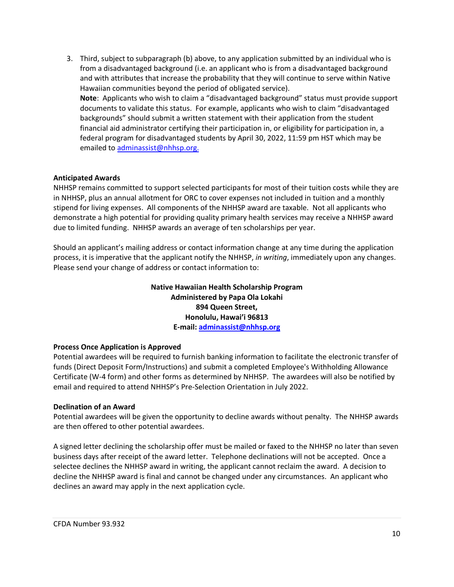3. Third, subject to subparagraph (b) above, to any application submitted by an individual who is from a disadvantaged background (i.e. an applicant who is from a disadvantaged background and with attributes that increase the probability that they will continue to serve within Native Hawaiian communities beyond the period of obligated service). **Note**: Applicants who wish to claim a "disadvantaged background" status must provide support documents to validate this status. For example, applicants who wish to claim "disadvantaged backgrounds" should submit a written statement with their application from the student financial aid administrator certifying their participation in, or eligibility for participation in, a federal program for disadvantaged students by April 30, 2022, 11:59 pm HST which may be emailed to [adminassist@nhhsp.org.](mailto:adminassist@nhhsp.org.)

#### **Anticipated Awards**

NHHSP remains committed to support selected participants for most of their tuition costs while they are in NHHSP, plus an annual allotment for ORC to cover expenses not included in tuition and a monthly stipend for living expenses. All components of the NHHSP award are taxable. Not all applicants who demonstrate a high potential for providing quality primary health services may receive a NHHSP award due to limited funding. NHHSP awards an average of ten scholarships per year.

Should an applicant's mailing address or contact information change at any time during the application process, it is imperative that the applicant notify the NHHSP, *in writing*, immediately upon any changes. Please send your change of address or contact information to:

> **Native Hawaiian Health Scholarship Program Administered by Papa Ola Lokahi 894 Queen Street, Honolulu, Hawai'i 96813 E-mail: [adminassist@nhhsp.org](mailto:adminassist@nhhsp.org)**

#### **Process Once Application is Approved**

Potential awardees will be required to furnish banking information to facilitate the electronic transfer of funds (Direct Deposit Form/Instructions) and submit a completed Employee's Withholding Allowance Certificate (W-4 form) and other forms as determined by NHHSP. The awardees will also be notified by email and required to attend NHHSP's Pre-Selection Orientation in July 2022.

#### **Declination of an Award**

Potential awardees will be given the opportunity to decline awards without penalty. The NHHSP awards are then offered to other potential awardees.

A signed letter declining the scholarship offer must be mailed or faxed to the NHHSP no later than seven business days after receipt of the award letter. Telephone declinations will not be accepted. Once a selectee declines the NHHSP award in writing, the applicant cannot reclaim the award. A decision to decline the NHHSP award is final and cannot be changed under any circumstances. An applicant who declines an award may apply in the next application cycle.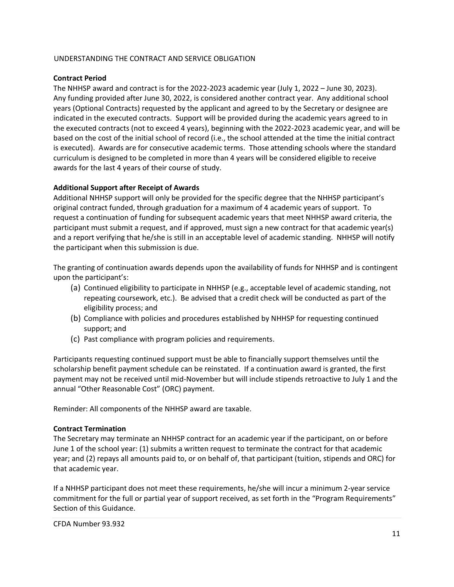#### <span id="page-10-0"></span>UNDERSTANDING THE CONTRACT AND SERVICE OBLIGATION

# **Contract Period**

The NHHSP award and contract is for the 2022-2023 academic year (July 1, 2022 – June 30, 2023). Any funding provided after June 30, 2022, is considered another contract year. Any additional school years (Optional Contracts) requested by the applicant and agreed to by the Secretary or designee are indicated in the executed contracts. Support will be provided during the academic years agreed to in the executed contracts (not to exceed 4 years), beginning with the 2022-2023 academic year, and will be based on the cost of the initial school of record (i.e., the school attended at the time the initial contract is executed). Awards are for consecutive academic terms. Those attending schools where the standard curriculum is designed to be completed in more than 4 years will be considered eligible to receive awards for the last 4 years of their course of study.

# **Additional Support after Receipt of Awards**

Additional NHHSP support will only be provided for the specific degree that the NHHSP participant's original contract funded, through graduation for a maximum of 4 academic years of support. To request a continuation of funding for subsequent academic years that meet NHHSP award criteria, the participant must submit a request, and if approved, must sign a new contract for that academic year(s) and a report verifying that he/she is still in an acceptable level of academic standing. NHHSP will notify the participant when this submission is due.

The granting of continuation awards depends upon the availability of funds for NHHSP and is contingent upon the participant's:

- (a) Continued eligibility to participate in NHHSP (e.g., acceptable level of academic standing, not repeating coursework, etc.). Be advised that a credit check will be conducted as part of the eligibility process; and
- (b) Compliance with policies and procedures established by NHHSP for requesting continued support; and
- (c) Past compliance with program policies and requirements.

Participants requesting continued support must be able to financially support themselves until the scholarship benefit payment schedule can be reinstated. If a continuation award is granted, the first payment may not be received until mid-November but will include stipends retroactive to July 1 and the annual "Other Reasonable Cost" (ORC) payment.

Reminder: All components of the NHHSP award are taxable.

#### **Contract Termination**

The Secretary may terminate an NHHSP contract for an academic year if the participant, on or before June 1 of the school year: (1) submits a written request to terminate the contract for that academic year; and (2) repays all amounts paid to, or on behalf of, that participant (tuition, stipends and ORC) for that academic year.

If a NHHSP participant does not meet these requirements, he/she will incur a minimum 2-year service commitment for the full or partial year of support received, as set forth in the "Program Requirements" Section of this Guidance.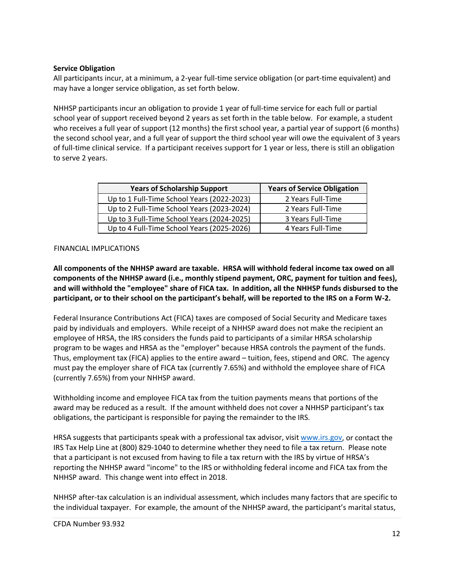#### **Service Obligation**

All participants incur, at a minimum, a 2-year full-time service obligation (or part-time equivalent) and may have a longer service obligation, as set forth below.

NHHSP participants incur an obligation to provide 1 year of full-time service for each full or partial school year of support received beyond 2 years as set forth in the table below. For example, a student who receives a full year of support (12 months) the first school year, a partial year of support (6 months) the second school year, and a full year of support the third school year will owe the equivalent of 3 years of full-time clinical service. If a participant receives support for 1 year or less, there is still an obligation to serve 2 years.

| <b>Years of Scholarship Support</b>        | <b>Years of Service Obligation</b> |
|--------------------------------------------|------------------------------------|
| Up to 1 Full-Time School Years (2022-2023) | 2 Years Full-Time                  |
| Up to 2 Full-Time School Years (2023-2024) | 2 Years Full-Time                  |
| Up to 3 Full-Time School Years (2024-2025) | 3 Years Full-Time                  |
| Up to 4 Full-Time School Years (2025-2026) | 4 Years Full-Time                  |

#### <span id="page-11-0"></span>FINANCIAL IMPLICATIONS

**All components of the NHHSP award are taxable. HRSA will withhold federal income tax owed on all components of the NHHSP award (i.e., monthly stipend payment, ORC, payment for tuition and fees), and will withhold the "employee" share of FICA tax. In addition, all the NHHSP funds disbursed to the participant, or to their school on the participant's behalf, will be reported to the IRS on a Form W-2.**

Federal Insurance Contributions Act (FICA) taxes are composed of Social Security and Medicare taxes paid by individuals and employers. While receipt of a NHHSP award does not make the recipient an employee of HRSA, the IRS considers the funds paid to participants of a similar HRSA scholarship program to be wages and HRSA as the "employer" because HRSA controls the payment of the funds. Thus, employment tax (FICA) applies to the entire award – tuition, fees, stipend and ORC. The agency must pay the employer share of FICA tax (currently 7.65%) and withhold the employee share of FICA (currently 7.65%) from your NHHSP award.

Withholding income and employee FICA tax from the tuition payments means that portions of the award may be reduced as a result. If the amount withheld does not cover a NHHSP participant's tax obligations, the participant is responsible for paying the remainder to the IRS.

HRSA suggests that participants speak with a professional tax advisor, visit [www.irs.gov,](http://www.irs.gov/) or contact the IRS Tax Help Line at (800) 829-1040 to determine whether they need to file a tax return. Please note that a participant is not excused from having to file a tax return with the IRS by virtue of HRSA's reporting the NHHSP award "income" to the IRS or withholding federal income and FICA tax from the NHHSP award. This change went into effect in 2018.

NHHSP after-tax calculation is an individual assessment, which includes many factors that are specific to the individual taxpayer. For example, the amount of the NHHSP award, the participant's marital status,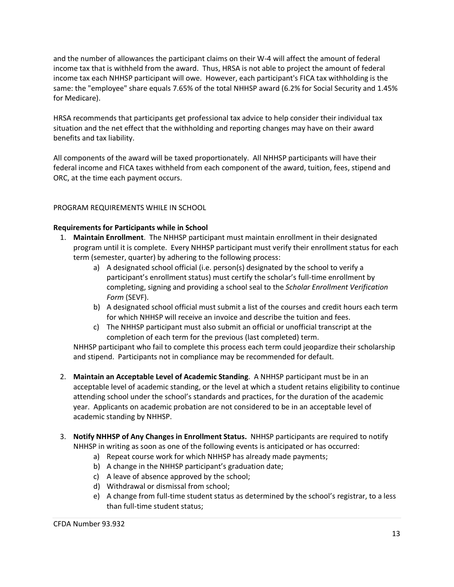and the number of allowances the participant claims on their W-4 will affect the amount of federal income tax that is withheld from the award. Thus, HRSA is not able to project the amount of federal income tax each NHHSP participant will owe. However, each participant's FICA tax withholding is the same: the "employee" share equals 7.65% of the total NHHSP award (6.2% for Social Security and 1.45% for Medicare).

HRSA recommends that participants get professional tax advice to help consider their individual tax situation and the net effect that the withholding and reporting changes may have on their award benefits and tax liability.

All components of the award will be taxed proportionately. All NHHSP participants will have their federal income and FICA taxes withheld from each component of the award, tuition, fees, stipend and ORC, at the time each payment occurs.

# <span id="page-12-0"></span>PROGRAM REQUIREMENTS WHILE IN SCHOOL

# **Requirements for Participants while in School**

- 1. **Maintain Enrollment**. The NHHSP participant must maintain enrollment in their designated program until it is complete. Every NHHSP participant must verify their enrollment status for each term (semester, quarter) by adhering to the following process:
	- a) A designated school official (i.e. person(s) designated by the school to verify a participant's enrollment status) must certify the scholar's full-time enrollment by completing, signing and providing a school seal to the *Scholar Enrollment Verification Form* (SEVF).
	- b) A designated school official must submit a list of the courses and credit hours each term for which NHHSP will receive an invoice and describe the tuition and fees.
	- c) The NHHSP participant must also submit an official or unofficial transcript at the completion of each term for the previous (last completed) term.

NHHSP participant who fail to complete this process each term could jeopardize their scholarship and stipend. Participants not in compliance may be recommended for default.

- 2. **Maintain an Acceptable Level of Academic Standing**. A NHHSP participant must be in an acceptable level of academic standing, or the level at which a student retains eligibility to continue attending school under the school's standards and practices, for the duration of the academic year. Applicants on academic probation are not considered to be in an acceptable level of academic standing by NHHSP.
- 3. **Notify NHHSP of Any Changes in Enrollment Status.** NHHSP participants are required to notify NHHSP in writing as soon as one of the following events is anticipated or has occurred:
	- a) Repeat course work for which NHHSP has already made payments;
	- b) A change in the NHHSP participant's graduation date;
	- c) A leave of absence approved by the school;
	- d) Withdrawal or dismissal from school;
	- e) A change from full-time student status as determined by the school's registrar, to a less than full-time student status;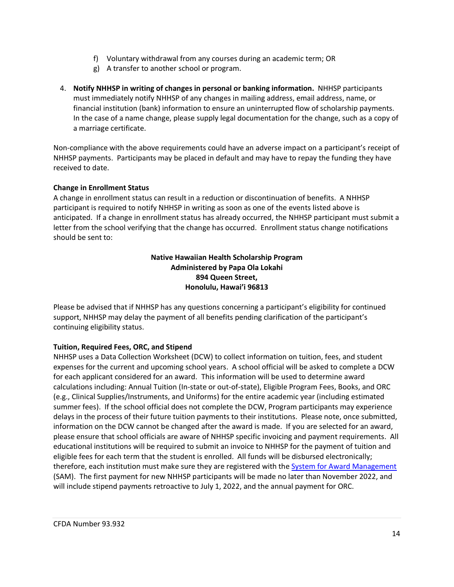- f) Voluntary withdrawal from any courses during an academic term; OR
- g) A transfer to another school or program.
- 4. **Notify NHHSP in writing of changes in personal or banking information.** NHHSP participants must immediately notify NHHSP of any changes in mailing address, email address, name, or financial institution (bank) information to ensure an uninterrupted flow of scholarship payments. In the case of a name change, please supply legal documentation for the change, such as a copy of a marriage certificate.

Non-compliance with the above requirements could have an adverse impact on a participant's receipt of NHHSP payments. Participants may be placed in default and may have to repay the funding they have received to date.

# **Change in Enrollment Status**

A change in enrollment status can result in a reduction or discontinuation of benefits. A NHHSP participant is required to notify NHHSP in writing as soon as one of the events listed above is anticipated. If a change in enrollment status has already occurred, the NHHSP participant must submit a letter from the school verifying that the change has occurred. Enrollment status change notifications should be sent to:

# **Native Hawaiian Health Scholarship Program Administered by Papa Ola Lokahi 894 Queen Street, Honolulu, Hawai'i 96813**

Please be advised that if NHHSP has any questions concerning a participant's eligibility for continued support, NHHSP may delay the payment of all benefits pending clarification of the participant's continuing eligibility status.

# **Tuition, Required Fees, ORC, and Stipend**

NHHSP uses a Data Collection Worksheet (DCW) to collect information on tuition, fees, and student expenses for the current and upcoming school years. A school official will be asked to complete a DCW for each applicant considered for an award. This information will be used to determine award calculations including: Annual Tuition (In-state or out-of-state), Eligible Program Fees, Books, and ORC (e.g., Clinical Supplies/Instruments, and Uniforms) for the entire academic year (including estimated summer fees). If the school official does not complete the DCW, Program participants may experience delays in the process of their future tuition payments to their institutions. Please note, once submitted, information on the DCW cannot be changed after the award is made. If you are selected for an award, please ensure that school officials are aware of NHHSP specific invoicing and payment requirements. All educational institutions will be required to submit an invoice to NHHSP for the payment of tuition and eligible fees for each term that the student is enrolled. All funds will be disbursed electronically; therefore, each institution must make sure they are registered with the **System for Award Management** (SAM). The first payment for new NHHSP participants will be made no later than November 2022, and will include stipend payments retroactive to July 1, 2022, and the annual payment for ORC.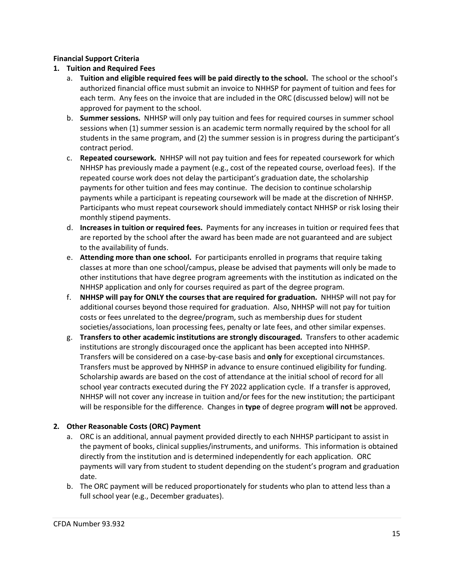# **Financial Support Criteria**

# **1. Tuition and Required Fees**

- a. **Tuition and eligible required fees will be paid directly to the school.** The school or the school's authorized financial office must submit an invoice to NHHSP for payment of tuition and fees for each term. Any fees on the invoice that are included in the ORC (discussed below) will not be approved for payment to the school.
- b. **Summer sessions.** NHHSP will only pay tuition and fees for required courses in summer school sessions when (1) summer session is an academic term normally required by the school for all students in the same program, and (2) the summer session is in progress during the participant's contract period.
- c. **Repeated coursework.** NHHSP will not pay tuition and fees for repeated coursework for which NHHSP has previously made a payment (e.g., cost of the repeated course, overload fees). If the repeated course work does not delay the participant's graduation date, the scholarship payments for other tuition and fees may continue. The decision to continue scholarship payments while a participant is repeating coursework will be made at the discretion of NHHSP. Participants who must repeat coursework should immediately contact NHHSP or risk losing their monthly stipend payments.
- d. **Increases in tuition or required fees.** Payments for any increases in tuition or required fees that are reported by the school after the award has been made are not guaranteed and are subject to the availability of funds.
- e. **Attending more than one school.** For participants enrolled in programs that require taking classes at more than one school/campus, please be advised that payments will only be made to other institutions that have degree program agreements with the institution as indicated on the NHHSP application and only for courses required as part of the degree program.
- f. **NHHSP will pay for ONLY the courses that are required for graduation.** NHHSP will not pay for additional courses beyond those required for graduation. Also, NHHSP will not pay for tuition costs or fees unrelated to the degree/program, such as membership dues for student societies/associations, loan processing fees, penalty or late fees, and other similar expenses.
- g. **Transfers to other academic institutions are strongly discouraged.** Transfers to other academic institutions are strongly discouraged once the applicant has been accepted into NHHSP. Transfers will be considered on a case-by-case basis and **only** for exceptional circumstances. Transfers must be approved by NHHSP in advance to ensure continued eligibility for funding. Scholarship awards are based on the cost of attendance at the initial school of record for all school year contracts executed during the FY 2022 application cycle. If a transfer is approved, NHHSP will not cover any increase in tuition and/or fees for the new institution; the participant will be responsible for the difference. Changes in **type** of degree program **will not** be approved.

# **2. Other Reasonable Costs (ORC) Payment**

- a. ORC is an additional, annual payment provided directly to each NHHSP participant to assist in the payment of books, clinical supplies/instruments, and uniforms. This information is obtained directly from the institution and is determined independently for each application. ORC payments will vary from student to student depending on the student's program and graduation date.
- b. The ORC payment will be reduced proportionately for students who plan to attend less than a full school year (e.g., December graduates).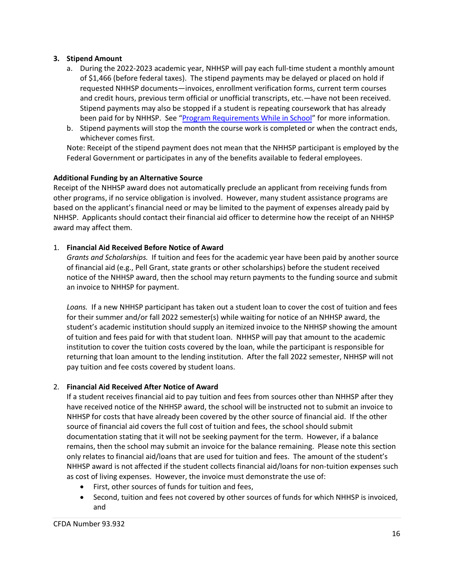# **3. Stipend Amount**

- a. During the 2022-2023 academic year, NHHSP will pay each full-time student a monthly amount of \$1,466 (before federal taxes). The stipend payments may be delayed or placed on hold if requested NHHSP documents—invoices, enrollment verification forms, current term courses and credit hours, previous term official or unofficial transcripts, etc.—have not been received. Stipend payments may also be stopped if a student is repeating coursework that has already been paid for by NHHSP. See ["Program Requirements While in School"](#page-12-0) for more information.
- b. Stipend payments will stop the month the course work is completed or when the contract ends, whichever comes first.

Note: Receipt of the stipend payment does not mean that the NHHSP participant is employed by the Federal Government or participates in any of the benefits available to federal employees.

# **Additional Funding by an Alternative Source**

Receipt of the NHHSP award does not automatically preclude an applicant from receiving funds from other programs, if no service obligation is involved. However, many student assistance programs are based on the applicant's financial need or may be limited to the payment of expenses already paid by NHHSP. Applicants should contact their financial aid officer to determine how the receipt of an NHHSP award may affect them.

# 1. **Financial Aid Received Before Notice of Award**

*Grants and Scholarships.* If tuition and fees for the academic year have been paid by another source of financial aid (e.g., Pell Grant, state grants or other scholarships) before the student received notice of the NHHSP award, then the school may return payments to the funding source and submit an invoice to NHHSP for payment.

*Loans.* If a new NHHSP participant has taken out a student loan to cover the cost of tuition and fees for their summer and/or fall 2022 semester(s) while waiting for notice of an NHHSP award, the student's academic institution should supply an itemized invoice to the NHHSP showing the amount of tuition and fees paid for with that student loan. NHHSP will pay that amount to the academic institution to cover the tuition costs covered by the loan, while the participant is responsible for returning that loan amount to the lending institution. After the fall 2022 semester, NHHSP will not pay tuition and fee costs covered by student loans.

#### 2. **Financial Aid Received After Notice of Award**

If a student receives financial aid to pay tuition and fees from sources other than NHHSP after they have received notice of the NHHSP award, the school will be instructed not to submit an invoice to NHHSP for costs that have already been covered by the other source of financial aid. If the other source of financial aid covers the full cost of tuition and fees, the school should submit documentation stating that it will not be seeking payment for the term. However, if a balance remains, then the school may submit an invoice for the balance remaining. Please note this section only relates to financial aid/loans that are used for tuition and fees. The amount of the student's NHHSP award is not affected if the student collects financial aid/loans for non-tuition expenses such as cost of living expenses. However, the invoice must demonstrate the use of:

- First, other sources of funds for tuition and fees,
- Second, tuition and fees not covered by other sources of funds for which NHHSP is invoiced, and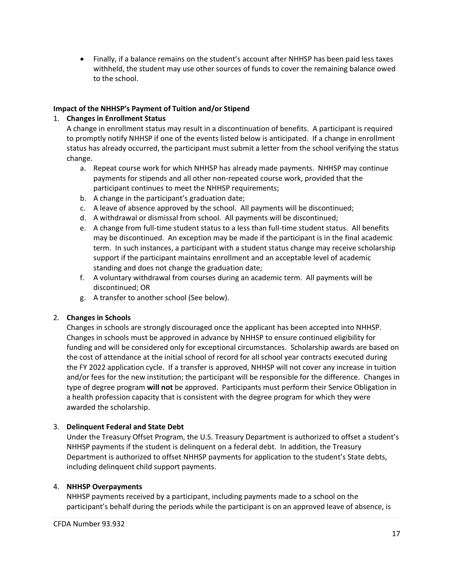• Finally, if a balance remains on the student's account after NHHSP has been paid less taxes withheld, the student may use other sources of funds to cover the remaining balance owed to the school.

# **Impact of the NHHSP's Payment of Tuition and/or Stipend**

# 1. **Changes in Enrollment Status**

A change in enrollment status may result in a discontinuation of benefits. A participant is required to promptly notify NHHSP if one of the events listed below is anticipated. If a change in enrollment status has already occurred, the participant must submit a letter from the school verifying the status change.

- a. Repeat course work for which NHHSP has already made payments. NHHSP may continue payments for stipends and all other non-repeated course work, provided that the participant continues to meet the NHHSP requirements;
- b. A change in the participant's graduation date;
- c. A leave of absence approved by the school. All payments will be discontinued;
- d. A withdrawal or dismissal from school. All payments will be discontinued;
- e. A change from full-time student status to a less than full-time student status. All benefits may be discontinued. An exception may be made if the participant is in the final academic term. In such instances, a participant with a student status change may receive scholarship support if the participant maintains enrollment and an acceptable level of academic standing and does not change the graduation date;
- f. A voluntary withdrawal from courses during an academic term. All payments will be discontinued; OR
- g. A transfer to another school (See below).

# 2. **Changes in Schools**

Changes in schools are strongly discouraged once the applicant has been accepted into NHHSP. Changes in schools must be approved in advance by NHHSP to ensure continued eligibility for funding and will be considered only for exceptional circumstances. Scholarship awards are based on the cost of attendance at the initial school of record for all school year contracts executed during the FY 2022 application cycle. If a transfer is approved, NHHSP will not cover any increase in tuition and/or fees for the new institution; the participant will be responsible for the difference. Changes in type of degree program **will not** be approved. Participants must perform their Service Obligation in a health profession capacity that is consistent with the degree program for which they were awarded the scholarship.

# 3. **Delinquent Federal and State Debt**

Under the Treasury Offset Program, the U.S. Treasury Department is authorized to offset a student's NHHSP payments if the student is delinquent on a federal debt. In addition, the Treasury Department is authorized to offset NHHSP payments for application to the student's State debts, including delinquent child support payments.

#### <span id="page-16-0"></span>4. **NHHSP Overpayments**

NHHSP payments received by a participant, including payments made to a school on the participant's behalf during the periods while the participant is on an approved leave of absence, is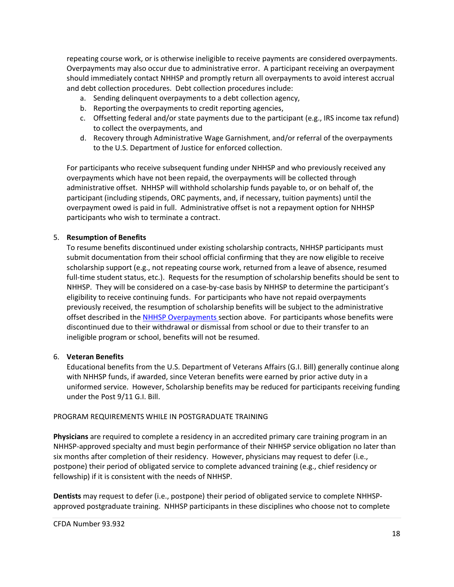repeating course work, or is otherwise ineligible to receive payments are considered overpayments. Overpayments may also occur due to administrative error. A participant receiving an overpayment should immediately contact NHHSP and promptly return all overpayments to avoid interest accrual and debt collection procedures. Debt collection procedures include:

- a. Sending delinquent overpayments to a debt collection agency,
- b. Reporting the overpayments to credit reporting agencies,
- c. Offsetting federal and/or state payments due to the participant (e.g., IRS income tax refund) to collect the overpayments, and
- d. Recovery through Administrative Wage Garnishment, and/or referral of the overpayments to the U.S. Department of Justice for enforced collection.

For participants who receive subsequent funding under NHHSP and who previously received any overpayments which have not been repaid, the overpayments will be collected through administrative offset. NHHSP will withhold scholarship funds payable to, or on behalf of, the participant (including stipends, ORC payments, and, if necessary, tuition payments) until the overpayment owed is paid in full. Administrative offset is not a repayment option for NHHSP participants who wish to terminate a contract.

#### 5. **Resumption of Benefits**

To resume benefits discontinued under existing scholarship contracts, NHHSP participants must submit documentation from their school official confirming that they are now eligible to receive scholarship support (e.g., not repeating course work, returned from a leave of absence, resumed full-time student status, etc.). Requests for the resumption of scholarship benefits should be sent to NHHSP. They will be considered on a case-by-case basis by NHHSP to determine the participant's eligibility to receive continuing funds. For participants who have not repaid overpayments previously received, the resumption of scholarship benefits will be subject to the administrative offset described in the [NHHSP Overpayments s](#page-16-0)ection above. For participants whose benefits were discontinued due to their withdrawal or dismissal from school or due to their transfer to an ineligible program or school, benefits will not be resumed.

#### 6. **Veteran Benefits**

Educational benefits from the U.S. Department of Veterans Affairs (G.I. Bill) generally continue along with NHHSP funds, if awarded, since Veteran benefits were earned by prior active duty in a uniformed service. However, Scholarship benefits may be reduced for participants receiving funding under the Post 9/11 G.I. Bill.

#### <span id="page-17-0"></span>PROGRAM REQUIREMENTS WHILE IN POSTGRADUATE TRAINING

**Physicians** are required to complete a residency in an accredited primary care training program in an NHHSP-approved specialty and must begin performance of their NHHSP service obligation no later than six months after completion of their residency. However, physicians may request to defer (i.e., postpone) their period of obligated service to complete advanced training (e.g., chief residency or fellowship) if it is consistent with the needs of NHHSP.

**Dentists** may request to defer (i.e., postpone) their period of obligated service to complete NHHSPapproved postgraduate training. NHHSP participants in these disciplines who choose not to complete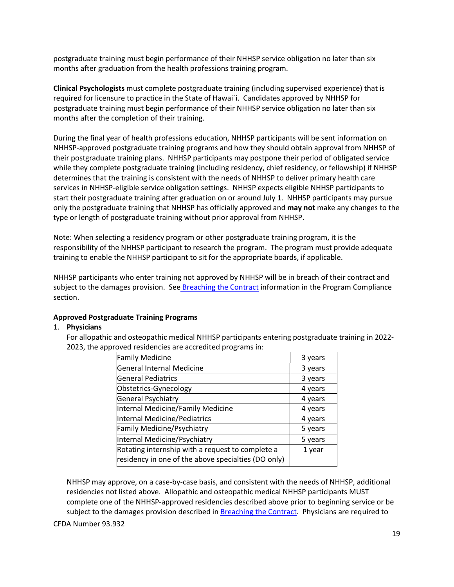postgraduate training must begin performance of their NHHSP service obligation no later than six months after graduation from the health professions training program.

**Clinical Psychologists** must complete postgraduate training (including supervised experience) that is required for licensure to practice in the State of Hawai`i. Candidates approved by NHHSP for postgraduate training must begin performance of their NHHSP service obligation no later than six months after the completion of their training.

During the final year of health professions education, NHHSP participants will be sent information on NHHSP-approved postgraduate training programs and how they should obtain approval from NHHSP of their postgraduate training plans. NHHSP participants may postpone their period of obligated service while they complete postgraduate training (including residency, chief residency, or fellowship) if NHHSP determines that the training is consistent with the needs of NHHSP to deliver primary health care services in NHHSP-eligible service obligation settings. NHHSP expects eligible NHHSP participants to start their postgraduate training after graduation on or around July 1. NHHSP participants may pursue only the postgraduate training that NHHSP has officially approved and **may not** make any changes to the type or length of postgraduate training without prior approval from NHHSP.

Note: When selecting a residency program or other postgraduate training program, it is the responsibility of the NHHSP participant to research the program. The program must provide adequate training to enable the NHHSP participant to sit for the appropriate boards, if applicable.

NHHSP participants who enter training not approved by NHHSP will be in breach of their contract and subject to the damages provision. See [Breaching the Contract](#page-25-1) information in the Program Compliance section.

#### **Approved Postgraduate Training Programs**

#### 1. **Physicians**

For allopathic and osteopathic medical NHHSP participants entering postgraduate training in 2022- 2023, the approved residencies are accredited programs in:

| <b>Family Medicine</b>                                                                                  | 3 years |
|---------------------------------------------------------------------------------------------------------|---------|
| General Internal Medicine                                                                               | 3 years |
| <b>General Pediatrics</b>                                                                               | 3 years |
| Obstetrics-Gynecology                                                                                   | 4 years |
| General Psychiatry                                                                                      | 4 years |
| Internal Medicine/Family Medicine                                                                       | 4 years |
| Internal Medicine/Pediatrics                                                                            | 4 years |
| Family Medicine/Psychiatry                                                                              | 5 years |
| Internal Medicine/Psychiatry                                                                            | 5 years |
| Rotating internship with a request to complete a<br>residency in one of the above specialties (DO only) | 1 year  |
|                                                                                                         |         |

NHHSP may approve, on a case-by-case basis, and consistent with the needs of NHHSP, additional residencies not listed above. Allopathic and osteopathic medical NHHSP participants MUST complete one of the NHHSP-approved residencies described above prior to beginning service or be subject to the damages provision described in [Breaching the Contract.](#page-25-1) Physicians are required to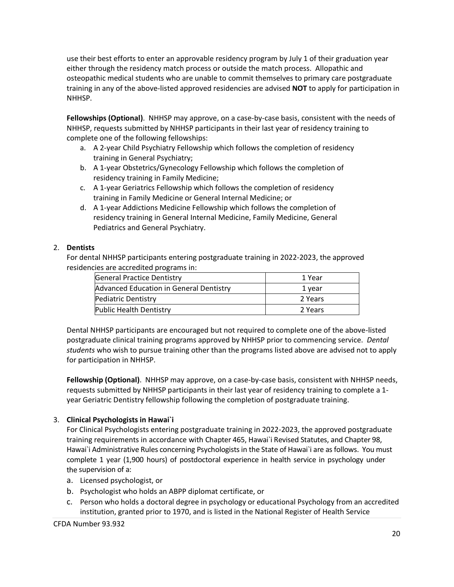use their best efforts to enter an approvable residency program by July 1 of their graduation year either through the residency match process or outside the match process. Allopathic and osteopathic medical students who are unable to commit themselves to primary care postgraduate training in any of the above-listed approved residencies are advised **NOT** to apply for participation in NHHSP.

**Fellowships (Optional)**. NHHSP may approve, on a case-by-case basis, consistent with the needs of NHHSP, requests submitted by NHHSP participants in their last year of residency training to complete one of the following fellowships:

- a. A 2-year Child Psychiatry Fellowship which follows the completion of residency training in General Psychiatry;
- b. A 1-year Obstetrics/Gynecology Fellowship which follows the completion of residency training in Family Medicine;
- c. A 1-year Geriatrics Fellowship which follows the completion of residency training in Family Medicine or General Internal Medicine; or
- d. A 1-year Addictions Medicine Fellowship which follows the completion of residency training in General Internal Medicine, Family Medicine, General Pediatrics and General Psychiatry.

# 2. **Dentists**

For dental NHHSP participants entering postgraduate training in 2022-2023, the approved residencies are accredited programs in:

| <b>General Practice Dentistry</b>       | 1 Year  |
|-----------------------------------------|---------|
| Advanced Education in General Dentistry | 1 year  |
| <b>Pediatric Dentistry</b>              | 2 Years |
| <b>Public Health Dentistry</b>          | 2 Years |

Dental NHHSP participants are encouraged but not required to complete one of the above-listed postgraduate clinical training programs approved by NHHSP prior to commencing service. *Dental students* who wish to pursue training other than the programs listed above are advised not to apply for participation in NHHSP.

**Fellowship (Optional)**. NHHSP may approve, on a case-by-case basis, consistent with NHHSP needs, requests submitted by NHHSP participants in their last year of residency training to complete a 1 year Geriatric Dentistry fellowship following the completion of postgraduate training.

# 3. **Clinical Psychologists in Hawai`i**

For Clinical Psychologists entering postgraduate training in 2022-2023, the approved postgraduate training requirements in accordance with Chapter 465, Hawai`i Revised Statutes, and Chapter 98, Hawai`i Administrative Rules concerning Psychologists in the State of Hawai`i are as follows. You must complete 1 year (1,900 hours) of postdoctoral experience in health service in psychology under the supervision of a:

- a. Licensed psychologist, or
- b. Psychologist who holds an ABPP diplomat certificate, or
- c. Person who holds a doctoral degree in psychology or educational Psychology from an accredited institution, granted prior to 1970, and is listed in the National Register of Health Service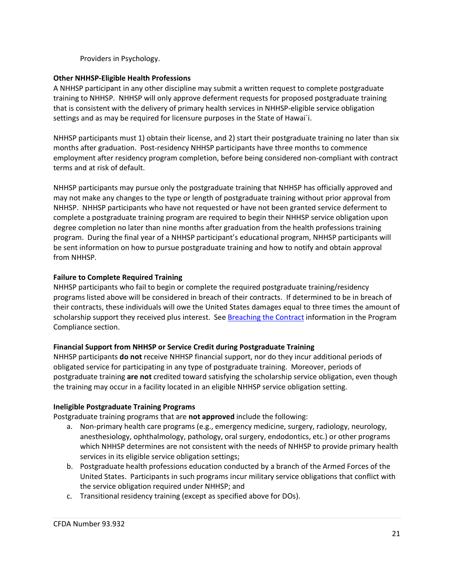Providers in Psychology.

# **Other NHHSP-Eligible Health Professions**

A NHHSP participant in any other discipline may submit a written request to complete postgraduate training to NHHSP. NHHSP will only approve deferment requests for proposed postgraduate training that is consistent with the delivery of primary health services in NHHSP-eligible service obligation settings and as may be required for licensure purposes in the State of Hawai`i.

NHHSP participants must 1) obtain their license, and 2) start their postgraduate training no later than six months after graduation. Post-residency NHHSP participants have three months to commence employment after residency program completion, before being considered non-compliant with contract terms and at risk of default.

NHHSP participants may pursue only the postgraduate training that NHHSP has officially approved and may not make any changes to the type or length of postgraduate training without prior approval from NHHSP. NHHSP participants who have not requested or have not been granted service deferment to complete a postgraduate training program are required to begin their NHHSP service obligation upon degree completion no later than nine months after graduation from the health professions training program. During the final year of a NHHSP participant's educational program, NHHSP participants will be sent information on how to pursue postgraduate training and how to notify and obtain approval from NHHSP.

# **Failure to Complete Required Training**

NHHSP participants who fail to begin or complete the required postgraduate training/residency programs listed above will be considered in breach of their contracts. If determined to be in breach of their contracts, these individuals will owe the United States damages equal to three times the amount of scholarship support they received plus interest. See [Breaching the Contract](#page-25-1) information in the Program Compliance section.

#### **Financial Support from NHHSP or Service Credit during Postgraduate Training**

NHHSP participants **do not** receive NHHSP financial support, nor do they incur additional periods of obligated service for participating in any type of postgraduate training. Moreover, periods of postgraduate training **are not** credited toward satisfying the scholarship service obligation, even though the training may occur in a facility located in an eligible NHHSP service obligation setting.

#### **Ineligible Postgraduate Training Programs**

Postgraduate training programs that are **not approved** include the following:

- a. Non-primary health care programs (e.g., emergency medicine, surgery, radiology, neurology, anesthesiology, ophthalmology, pathology, oral surgery, endodontics, etc.) or other programs which NHHSP determines are not consistent with the needs of NHHSP to provide primary health services in its eligible service obligation settings;
- b. Postgraduate health professions education conducted by a branch of the Armed Forces of the United States. Participants in such programs incur military service obligations that conflict with the service obligation required under NHHSP; and
- c. Transitional residency training (except as specified above for DOs).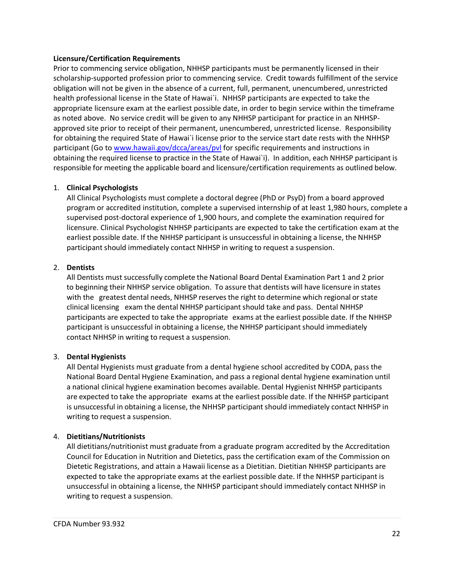#### **Licensure/Certification Requirements**

Prior to commencing service obligation, NHHSP participants must be permanently licensed in their scholarship-supported profession prior to commencing service. Credit towards fulfillment of the service obligation will not be given in the absence of a current, full, permanent, unencumbered, unrestricted health professional license in the State of Hawai`i. NHHSP participants are expected to take the appropriate licensure exam at the earliest possible date, in order to begin service within the timeframe as noted above. No service credit will be given to any NHHSP participant for practice in an NHHSPapproved site prior to receipt of their permanent, unencumbered, unrestricted license. Responsibility for obtaining the required State of Hawai`i license prior to the service start date rests with the NHHSP participant (Go to [www.hawaii.gov/dcca/areas/pvl](http://www.hawaii.gov/dcca/areas/pvl) for specific requirements and instructions in obtaining the required license to practice in the State of Hawai`i). In addition, each NHHSP participant is responsible for meeting the applicable board and licensure/certification requirements as outlined below.

# 1. **Clinical Psychologists**

All Clinical Psychologists must complete a doctoral degree (PhD or PsyD) from a board approved program or accredited institution, complete a supervised internship of at least 1,980 hours, complete a supervised post-doctoral experience of 1,900 hours, and complete the examination required for licensure. Clinical Psychologist NHHSP participants are expected to take the certification exam at the earliest possible date. If the NHHSP participant is unsuccessful in obtaining a license, the NHHSP participant should immediately contact NHHSP in writing to request a suspension.

# 2. **Dentists**

All Dentists must successfully complete the National Board Dental Examination Part 1 and 2 prior to beginning their NHHSP service obligation. To assure that dentists will have licensure in states with the greatest dental needs, NHHSP reserves the right to determine which regional or state clinical licensing exam the dental NHHSP participantshould take and pass. Dental NHHSP participants are expected to take the appropriate exams at the earliest possible date. If the NHHSP participant is unsuccessful in obtaining a license, the NHHSP participant should immediately contact NHHSP in writing to request a suspension.

# 3. **Dental Hygienists**

All Dental Hygienists must graduate from a dental hygiene school accredited by CODA, pass the National Board Dental Hygiene Examination, and pass a regional dental hygiene examination until a national clinical hygiene examination becomes available. Dental Hygienist NHHSP participants are expected to take the appropriate exams at the earliest possible date. If the NHHSP participant is unsuccessful in obtaining a license, the NHHSP participant should immediately contact NHHSP in writing to request a suspension.

# 4. **Dietitians/Nutritionists**

All dietitians/nutritionist must graduate from a graduate program accredited by the Accreditation Council for Education in Nutrition and Dietetics, pass the certification exam of the Commission on Dietetic Registrations, and attain a Hawaii license as a Dietitian. Dietitian NHHSP participants are expected to take the appropriate exams at the earliest possible date. If the NHHSP participant is unsuccessful in obtaining a license, the NHHSP participant should immediately contact NHHSP in writing to request a suspension.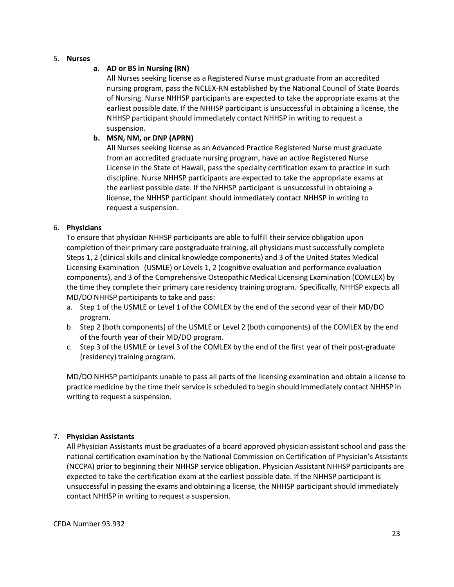5. **Nurses** 

# **a. AD or BS in Nursing (RN)**

All Nurses seeking license as a Registered Nurse must graduate from an accredited nursing program, pass the NCLEX-RN established by the National Council of State Boards of Nursing. Nurse NHHSP participants are expected to take the appropriate exams at the earliest possible date. If the NHHSP participant is unsuccessful in obtaining a license, the NHHSP participant should immediately contact NHHSP in writing to request a suspension.

# **b. MSN, NM, or DNP (APRN)**

All Nurses seeking license as an Advanced Practice Registered Nurse must graduate from an accredited graduate nursing program, have an active Registered Nurse License in the State of Hawaii, pass the specialty certification exam to practice in such discipline. Nurse NHHSP participants are expected to take the appropriate exams at the earliest possible date. If the NHHSP participant is unsuccessful in obtaining a license, the NHHSP participant should immediately contact NHHSP in writing to request a suspension.

# 6. **Physicians**

To ensure that physician NHHSP participants are able to fulfill their service obligation upon completion of their primary care postgraduate training, all physicians must successfully complete Steps 1, 2 (clinical skills and clinical knowledge components) and 3 of the United States Medical Licensing Examination (USMLE) or Levels 1, 2 (cognitive evaluation and performance evaluation components), and 3 of the Comprehensive Osteopathic Medical Licensing Examination (COMLEX) by the time they complete their primary care residency training program. Specifically, NHHSP expects all MD/DO NHHSP participants to take and pass:

- a. Step 1 of the USMLE or Level 1 of the COMLEX by the end of the second year of their MD/DO program.
- b. Step 2 (both components) of the USMLE or Level 2 (both components) of the COMLEX by the end of the fourth year of their MD/DO program.
- c. Step 3 of the USMLE or Level 3 of the COMLEX by the end of the first year of their post-graduate (residency) training program.

MD/DO NHHSP participants unable to pass all parts of the licensing examination and obtain a license to practice medicine by the time their service is scheduled to begin should immediately contact NHHSP in writing to request a suspension.

# 7. **Physician Assistants**

All Physician Assistants must be graduates of a board approved physician assistant school and pass the national certification examination by the National Commission on Certification of Physician's Assistants (NCCPA) prior to beginning their NHHSP service obligation. Physician Assistant NHHSP participants are expected to take the certification exam at the earliest possible date. If the NHHSP participant is unsuccessful in passing the exams and obtaining a license, the NHHSP participant should immediately contact NHHSP in writing to request a suspension.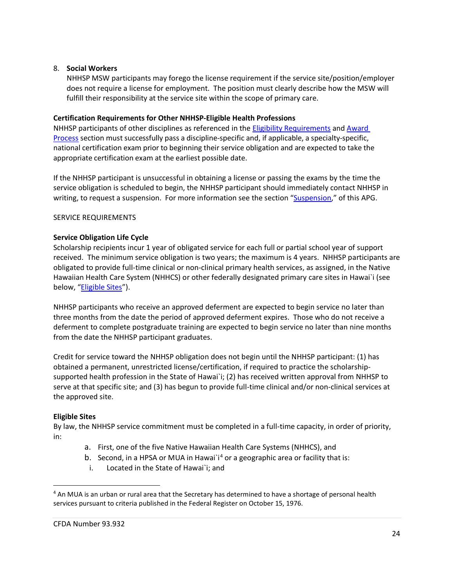#### 8. **Social Workers**

NHHSP MSW participants may forego the license requirement if the service site/position/employer does not require a license for employment. The position must clearly describe how the MSW will fulfill their responsibility at the service site within the scope of primary care.

# **Certification Requirements for Other NHHSP-Eligible Health Professions**

NHHSP participants of other disciplines as referenced in the [Eligibility Requirements](#page-4-0) and [Award](#page-30-0)  [Process](#page-30-0) section must successfully pass a discipline-specific and, if applicable, a specialty-specific, national certification exam prior to beginning their service obligation and are expected to take the appropriate certification exam at the earliest possible date.

If the NHHSP participant is unsuccessful in obtaining a license or passing the exams by the time the service obligation is scheduled to begin, the NHHSP participant should immediately contact NHHSP in writing, to request a suspension. For more information see the section ["Suspension,](#page-27-0)" of this APG.

# <span id="page-23-0"></span>SERVICE REQUIREMENTS

# **Service Obligation Life Cycle**

Scholarship recipients incur 1 year of obligated service for each full or partial school year of support received. The minimum service obligation is two years; the maximum is 4 years. NHHSP participants are obligated to provide full-time clinical or non-clinical primary health services, as assigned, in the Native Hawaiian Health Care System (NHHCS) or other federally designated primary care sites in Hawai`i (see below, "**Eligible Sites**").

NHHSP participants who receive an approved deferment are expected to begin service no later than three months from the date the period of approved deferment expires. Those who do not receive a deferment to complete postgraduate training are expected to begin service no later than nine months from the date the NHHSP participant graduates.

Credit for service toward the NHHSP obligation does not begin until the NHHSP participant: (1) has obtained a permanent, unrestricted license/certification, if required to practice the scholarshipsupported health profession in the State of Hawai`i; (2) has received written approval from NHHSP to serve at that specific site; and (3) has begun to provide full-time clinical and/or non-clinical services at the approved site.

#### <span id="page-23-1"></span>**Eligible Sites**

 $\overline{a}$ 

By law, the NHHSP service commitment must be completed in a full-time capacity, in order of priority, in:

- a. First, one of the five Native Hawaiian Health Care Systems (NHHCS), and
- b. Second, in a HPSA or MUA in Hawai`i<sup>[4](#page-23-2)</sup> or a geographic area or facility that is:
- i. Located in the State of Hawai`i; and

<span id="page-23-2"></span><sup>&</sup>lt;sup>4</sup> An MUA is an urban or rural area that the Secretary has determined to have a shortage of personal health services pursuant to criteria published in the Federal Register on October 15, 1976.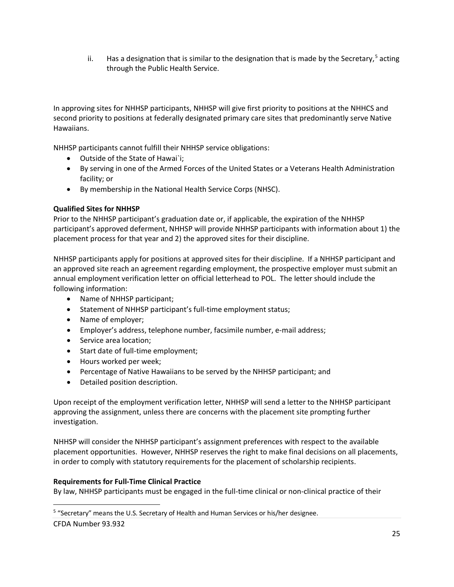ii. Has a designation that is similar to the designation that is made by the Secretary,<sup>[5](#page-24-0)</sup> acting through the Public Health Service.

In approving sites for NHHSP participants, NHHSP will give first priority to positions at the NHHCS and second priority to positions at federally designated primary care sites that predominantly serve Native Hawaiians.

NHHSP participants cannot fulfill their NHHSP service obligations:

- Outside of the State of Hawai`i;
- By serving in one of the Armed Forces of the United States or a Veterans Health Administration facility; or
- By membership in the National Health Service Corps (NHSC).

# **Qualified Sites for NHHSP**

Prior to the NHHSP participant's graduation date or, if applicable, the expiration of the NHHSP participant's approved deferment, NHHSP will provide NHHSP participants with information about 1) the placement process for that year and 2) the approved sites for their discipline.

NHHSP participants apply for positions at approved sites for their discipline. If a NHHSP participant and an approved site reach an agreement regarding employment, the prospective employer must submit an annual employment verification letter on official letterhead to POL. The letter should include the following information:

- Name of NHHSP participant;
- Statement of NHHSP participant's full-time employment status;
- Name of employer;
- Employer's address, telephone number, facsimile number, e-mail address;
- Service area location;
- Start date of full-time employment;
- Hours worked per week;
- Percentage of Native Hawaiians to be served by the NHHSP participant; and
- Detailed position description.

Upon receipt of the employment verification letter, NHHSP will send a letter to the NHHSP participant approving the assignment, unless there are concerns with the placement site prompting further investigation.

NHHSP will consider the NHHSP participant's assignment preferences with respect to the available placement opportunities. However, NHHSP reserves the right to make final decisions on all placements, in order to comply with statutory requirements for the placement of scholarship recipients.

#### **Requirements for Full-Time Clinical Practice**

By law, NHHSP participants must be engaged in the full-time clinical or non-clinical practice of their

CFDA Number 93.932

 $\overline{a}$ 

<span id="page-24-0"></span><sup>&</sup>lt;sup>5</sup> "Secretary" means the U.S. Secretary of Health and Human Services or his/her designee.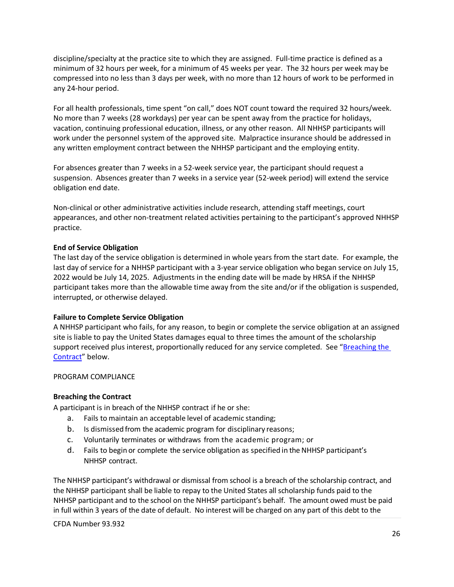discipline/specialty at the practice site to which they are assigned. Full-time practice is defined as a minimum of 32 hours per week, for a minimum of 45 weeks per year. The 32 hours per week may be compressed into no less than 3 days per week, with no more than 12 hours of work to be performed in any 24-hour period.

For all health professionals, time spent "on call," does NOT count toward the required 32 hours/week. No more than 7 weeks (28 workdays) per year can be spent away from the practice for holidays, vacation, continuing professional education, illness, or any other reason. All NHHSP participants will work under the personnel system of the approved site. Malpractice insurance should be addressed in any written employment contract between the NHHSP participant and the employing entity.

For absences greater than 7 weeks in a 52-week service year, the participant should request a suspension. Absences greater than 7 weeks in a service year (52-week period) will extend the service obligation end date.

Non-clinical or other administrative activities include research, attending staff meetings, court appearances, and other non-treatment related activities pertaining to the participant's approved NHHSP practice.

# **End of Service Obligation**

The last day of the service obligation is determined in whole years from the start date. For example, the last day of service for a NHHSP participant with a 3-year service obligation who began service on July 15, 2022 would be July 14, 2025. Adjustments in the ending date will be made by HRSA if the NHHSP participant takes more than the allowable time away from the site and/or if the obligation is suspended, interrupted, or otherwise delayed.

#### **Failure to Complete Service Obligation**

A NHHSP participant who fails, for any reason, to begin or complete the service obligation at an assigned site is liable to pay the United States damages equal to three times the amount of the scholarship support received plus interest, proportionally reduced for any service completed. See ["Breaching the](#page-25-1) [Contract"](#page-25-1) below.

#### <span id="page-25-0"></span>PROGRAM COMPLIANCE

#### <span id="page-25-1"></span>**Breaching the Contract**

A participant is in breach of the NHHSP contract if he or she:

- a. Fails to maintain an acceptable level of academic standing;
- b. Is dismissed from the academic program for disciplinary reasons;
- c. Voluntarily terminates or withdraws from the academic program; or
- d. Fails to begin or complete the service obligation as specified in theNHHSP participant's NHHSP contract.

The NHHSP participant's withdrawal or dismissal from school is a breach of the scholarship contract, and the NHHSP participant shall be liable to repay to the United States all scholarship funds paid to the NHHSP participant and to the school on the NHHSP participant's behalf. The amount owed must be paid in full within 3 years of the date of default. No interest will be charged on any part of this debt to the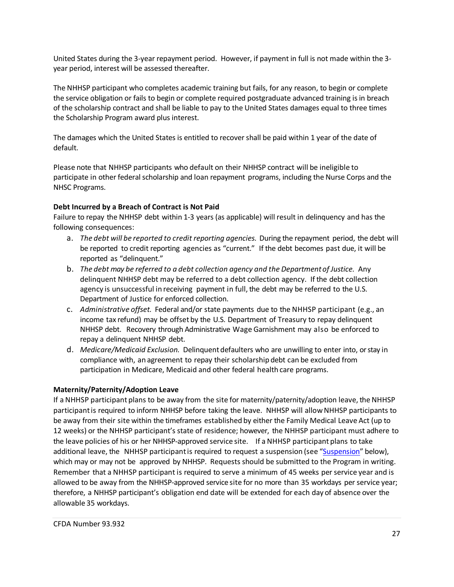United States during the 3-year repayment period. However, if payment in full is not made within the 3 year period, interest will be assessed thereafter.

The NHHSP participant who completes academic training but fails, for any reason, to begin or complete the service obligation or fails to begin or complete required postgraduate advanced training is in breach of the scholarship contract and shall be liable to pay to the United States damages equal to three times the Scholarship Program award plus interest.

The damages which the United States is entitled to recover shall be paid within 1 year of the date of default.

Please note that NHHSP participants who default on their NHHSP contract will be ineligible to participate in other federal scholarship and loan repayment programs, including the Nurse Corps and the NHSC Programs.

# **Debt Incurred by a Breach of Contract is Not Paid**

Failure to repay the NHHSP debt within 1-3 years (as applicable) will result in delinquency and has the following consequences:

- a. *The debt will be reported to credit reporting agencies.* During the repayment period, the debt will be reported to credit reporting agencies as "current." If the debt becomes past due, it will be reported as "delinquent."
- b. *The debt may be referred to a debt collection agency and the Departmentof Justice.* Any delinquent NHHSP debt may be referred to a debt collection agency. If the debt collection agency is unsuccessful in receiving payment in full, the debt may be referred to the U.S. Department of Justice for enforced collection.
- c. *Administrative offset.* Federal and/or state payments due to the NHHSP participant (e.g., an income tax refund) may be offset by the U.S. Department of Treasury to repay delinquent NHHSP debt. Recovery through Administrative Wage Garnishment may also be enforced to repay a delinquent NHHSP debt.
- d. *Medicare/Medicaid Exclusion.* Delinquentdefaulters who are unwilling to enter into, or stay in compliance with, an agreement to repay their scholarship debt can be excluded from participation in Medicare, Medicaid and other federal health care programs.

# **Maternity/Paternity/Adoption Leave**

If a NHHSP participant plans to be away from the site for maternity/paternity/adoption leave, the NHHSP participantis required to inform NHHSP before taking the leave. NHHSP will allowNHHSP participants to be away from their site within the timeframes established by either the Family Medical Leave Act (up to 12 weeks) or the NHHSP participant's state of residence; however, the NHHSP participant must adhere to the leave policies of his or her NHHSP-approved service site. If a NHHSP participant plans to take additional leave, the NHHSP participant is required to request a suspension (see ["Suspension"](#page-27-0) below), which may or may not be approved by NHHSP. Requests should be submitted to the Program in writing. Remember that a NHHSP participant is required to serve a minimum of 45 weeks per service year and is allowed to be away from the NHHSP-approved service site for no more than 35 workdays per service year; therefore, a NHHSP participant's obligation end date will be extended for each day of absence over the allowable 35 workdays.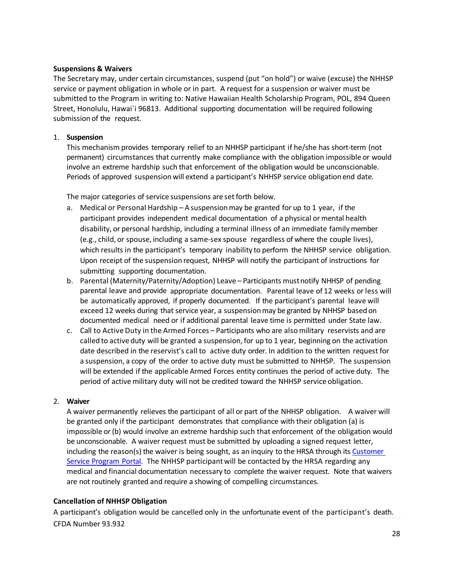#### **Suspensions & Waivers**

The Secretary may, under certain circumstances, suspend (put "on hold") or waive (excuse) the NHHSP service or payment obligation in whole or in part. A request for a suspension or waiver must be submitted to the Program in writing to: Native Hawaiian Health Scholarship Program, POL, 894 Queen Street, Honolulu, Hawai`i 96813. Additional supporting documentation will be required following submission of the request.

#### <span id="page-27-0"></span>1. **Suspension**

This mechanism provides temporary relief to an NHHSP participant if he/she has short-term (not permanent) circumstances that currently make compliance with the obligation impossible or would involve an extreme hardship such that enforcement of the obligation would be unconscionable. Periods of approved suspension will extend a participant's NHHSP service obligation end date.

The major categories of service suspensions are set forth below.

- a. Medical or Personal Hardship A suspensionmay be granted for up to 1 year, if the participant provides independent medical documentation of a physical or mental health disability, or personal hardship, including a terminal illness of an immediate familymember (e.g., child, or spouse, including a same-sex spouse regardless of where the couple lives), which results in the participant's temporary inability to perform the NHHSP service obligation. Upon receipt of the suspension request, NHHSP will notify the participant of instructions for submitting supporting documentation.
- b. Parental (Maternity/Paternity/Adoption) Leave Participants mustnotify NHHSP of pending parental leave and provide appropriate documentation. Parental leave of 12 weeks or less will be automatically approved, if properly documented. If the participant's parental leave will exceed 12 weeks during that service year, a suspension may be granted by NHHSP based on documented medical need or if additional parental leave time is permitted under State law.
- c. Call to Active Duty in the Armed Forces Participants who are also military reservists and are called to active duty will be granted a suspension, for up to 1 year, beginning on the activation date described in the reservist's call to active duty order. In addition to the written request for a suspension, a copy of the order to active duty must be submitted to NHHSP. The suspension will be extended if the applicable Armed Forces entity continues the period of active duty. The period of active military duty will not be credited toward the NHHSP service obligation.

#### 2. **Waiver**

A waiver permanently relieves the participant of all or part of the NHHSP obligation. A waiver will be granted only if the participant demonstrates that compliance with their obligation (a) is impossible or (b) would involve an extreme hardship such that enforcement of the obligation would be unconscionable. A waiver request must be submitted by uploading a signed request letter, including the reason(s) the waiver is being sought, as an inquiry to the HRSA through its Customer Service [Program](https://programportal.hrsa.gov/extranet/landing.seam) Portal. The NHHSP participant will be contacted by the HRSA regarding any medical and financial documentation necessary to complete the waiver request. Note that waivers are not routinely granted and require a showing of compelling circumstances.

#### **Cancellation of NHHSP Obligation**

CFDA Number 93.932 A participant's obligation would be cancelled only in the unfortunate event of the participant's death.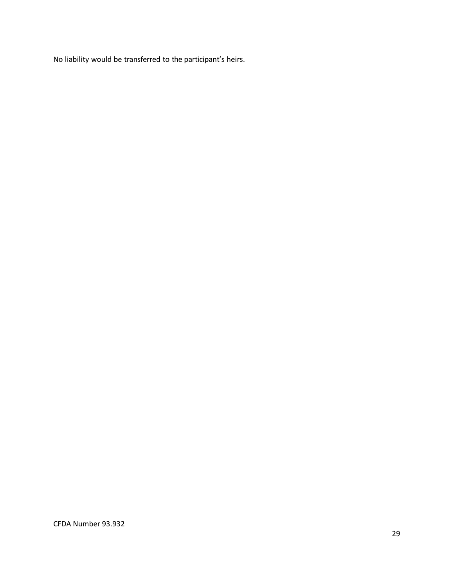No liability would be transferred to the participant's heirs.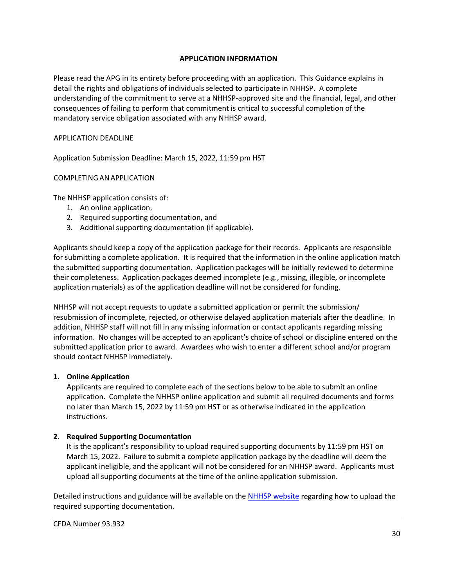#### **APPLICATION INFORMATION**

<span id="page-29-0"></span>Please read the APG in its entirety before proceeding with an application. This Guidance explains in detail the rights and obligations of individuals selected to participate in NHHSP. A complete understanding of the commitment to serve at a NHHSP-approved site and the financial, legal, and other consequences of failing to perform that commitment is critical to successful completion of the mandatory service obligation associated with any NHHSP award.

#### <span id="page-29-1"></span>APPLICATION DEADLINE

Application Submission Deadline: March 15, 2022, 11:59 pm HST

#### <span id="page-29-2"></span>COMPLETINGANAPPLICATION

The NHHSP application consists of:

- 1. An online application,
- 2. Required supporting documentation, and
- 3. Additional supporting documentation (if applicable).

Applicants should keep a copy of the application package for their records. Applicants are responsible for submitting a complete application.It is required that the information in the online application match the submitted supporting documentation. Application packages will be initially reviewed to determine their completeness. Application packages deemed incomplete (e.g., missing, illegible, or incomplete application materials) as of the application deadline will not be considered for funding.

NHHSP will not accept requests to update a submitted application or permit the submission/ resubmission of incomplete, rejected, or otherwise delayed application materials after the deadline. In addition, NHHSP staff will not fill in any missing information or contact applicants regarding missing information. No changes will be accepted to an applicant's choice of school or discipline entered on the submitted application prior to award. Awardees who wish to enter a different school and/or program should contact NHHSP immediately.

#### **1. Online Application**

Applicants are required to complete each of the sections below to be able to submit an online application. Complete the NHHSP online application and submit all required documents and forms no later than March 15, 2022 by 11:59 pm HST or as otherwise indicated in the application instructions.

#### **2. Required Supporting Documentation**

It is the applicant's responsibility to upload required supporting documents by 11:59 pm HST on March 15, 2022. Failure to submit a complete application package by the deadline will deem the applicant ineligible, and the applicant will not be considered for an NHHSP award. Applicants must upload all supporting documents at the time of the online application submission.

Detailed instructions and guidance will be available on th[e NHHSP website](http://www.papaolalokahi.org/native-hawaiian-programs/scholarship-program.html) regarding how to upload the required supporting documentation.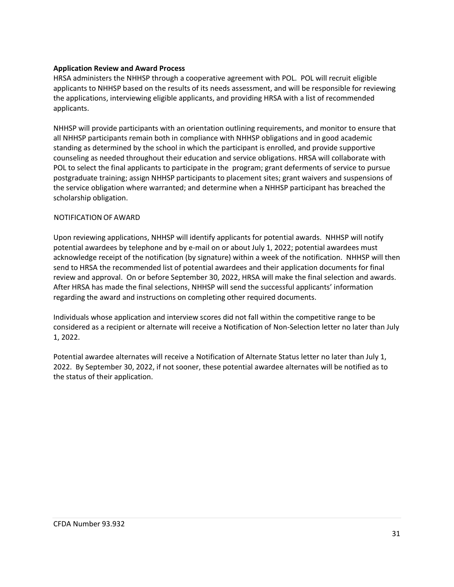#### **Application Review and Award Process**

HRSA administers the NHHSP through a cooperative agreement with POL. POL will recruit eligible applicants to NHHSP based on the results of its needs assessment, and will be responsible for reviewing the applications, interviewing eligible applicants, and providing HRSA with a list of recommended applicants.

NHHSP will provide participants with an orientation outlining requirements, and monitor to ensure that all NHHSP participants remain both in compliance with NHHSP obligations and in good academic standing as determined by the school in which the participant is enrolled, and provide supportive counseling as needed throughout their education and service obligations. HRSA will collaborate with POL to select the final applicants to participate in the program; grant deferments of service to pursue postgraduate training; assign NHHSP participants to placement sites; grant waivers and suspensions of the service obligation where warranted; and determine when a NHHSP participant has breached the scholarship obligation.

# <span id="page-30-0"></span>NOTIFICATION OF AWARD

Upon reviewing applications, NHHSP will identify applicants for potential awards. NHHSP will notify potential awardees by telephone and by e-mail on or about July 1, 2022; potential awardees must acknowledge receipt of the notification (by signature) within a week of the notification. NHHSP will then send to HRSA the recommended list of potential awardees and their application documents for final review and approval. On or before September 30, 2022, HRSA will make the final selection and awards. After HRSA has made the final selections, NHHSP will send the successful applicants' information regarding the award and instructions on completing other required documents.

Individuals whose application and interview scores did not fall within the competitive range to be considered as a recipient or alternate will receive a Notification of Non-Selection letter no later than July 1, 2022.

Potential awardee alternates will receive a Notification of Alternate Status letter no later than July 1, 2022. By September 30, 2022, if not sooner, these potential awardee alternates will be notified as to the status of their application.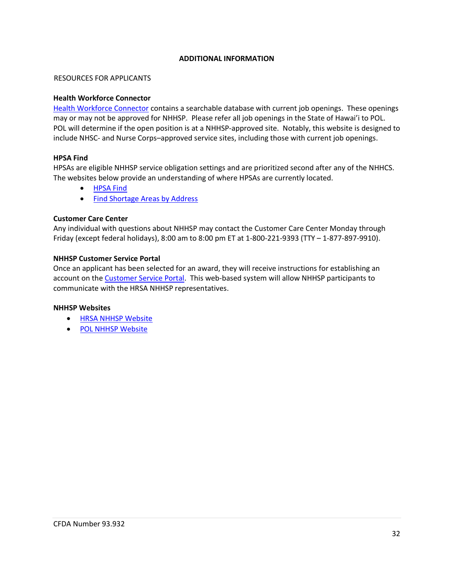#### **ADDITIONAL INFORMATION**

#### <span id="page-31-1"></span><span id="page-31-0"></span>RESOURCES FOR APPLICANTS

#### **Health Workforce Connector**

[Health Workforce Connector](https://connector.hrsa.gov/connector/) contains a searchable database with current job openings. These openings may or may not be approved for NHHSP. Please refer all job openings in the State of Hawai'i to POL. POL will determine if the open position is at a NHHSP-approved site. Notably, this website is designed to include NHSC- and Nurse Corps–approved service sites, including those with current job openings.

#### **HPSA Find**

HPSAs are eligible NHHSP service obligation settings and are prioritized second after any of the NHHCS. The websites below provide an understanding of where HPSAs are currently located.

- [HPSA Find](http://hpsafind.hrsa.gov/)
- [Find Shortage Areas by Address](http://datawarehouse.hrsa.gov/GeoAdvisor/ShortageDesignationAdvisor.aspx)

#### **Customer Care Center**

Any individual with questions about NHHSP may contact the Customer Care Center Monday through Friday (except federal holidays), 8:00 am to 8:00 pm ET at 1-800-221-9393 (TTY – 1-877-897-9910).

#### **NHHSP Customer Service Portal**

Once an applicant has been selected for an award, they will receive instructions for establishing an account on the [Customer Service Portal.](https://programportal.hrsa.gov/) This web-based system will allow NHHSP participants to communicate with the HRSA NHHSP representatives.

#### **NHHSP Websites**

- [HRSA NHHSP Website](https://bhw.hrsa.gov/funding/apply-scholarship/native-hawaiian-health)
- [POL NHHSP Website](http://www.papaolalokahi.org/native-hawaiian-programs/scholarship-program.html)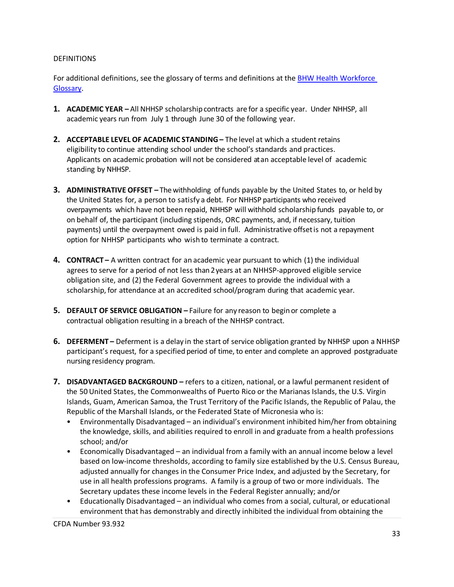#### <span id="page-32-0"></span>**DEFINITIONS**

For additional definitions, see the glossary of terms and definitions at the [BHW Health Workforce](https://bhw.hrsa.gov/grants/resourcecenter/glossary)  [Glossary.](https://bhw.hrsa.gov/grants/resourcecenter/glossary)

- **1. ACADEMIC YEAR** All NHHSP scholarshipcontracts are for a specific year. Under NHHSP, all academic years run from July 1 through June 30 of the following year.
- **2. ACCEPTABLE LEVEL OF ACADEMIC STANDING** The level at which a student retains eligibility to continue attending school under the school's standards and practices. Applicants on academic probation will not be considered atan acceptable level of academic standing by NHHSP.
- **3. ADMINISTRATIVE OFFSET** The withholding offunds payable by the United States to, or held by the United States for, a person to satisfy a debt. For NHHSP participants who received overpayments which have not been repaid, NHHSP will withhold scholarship funds payable to, or on behalf of, the participant (including stipends, ORC payments, and, if necessary, tuition payments) until the overpayment owed is paid in full. Administrative offsetis not a repayment option for NHHSP participants who wish to terminate a contract.
- **4. CONTRACT** A written contract for an academic year pursuant to which (1) the individual agrees to serve for a period of not less than 2 years at an NHHSP-approved eligible service obligation site, and (2) the Federal Government agrees to provide the individual with a scholarship, for attendance at an accredited school/program during that academic year.
- **5. DEFAULT OF SERVICE OBLIGATION** Failure for any reason to beginor complete a contractual obligation resulting in a breach of the NHHSP contract.
- **6. DEFERMENT** Deferment is a delay in the start of service obligation granted by NHHSP upon a NHHSP participant's request, for a specified period of time, to enter and complete an approved postgraduate nursing residency program.
- **7. DISADVANTAGED BACKGROUND** refers to a citizen, national, or a lawful permanent resident of the 50 United States, the Commonwealths of Puerto Rico or the Marianas Islands, the U.S. Virgin Islands, Guam, American Samoa, the Trust Territory of the Pacific Islands, the Republic of Palau, the Republic of the Marshall Islands, or the Federated State of Micronesia who is:
	- Environmentally Disadvantaged an individual's environment inhibited him/her from obtaining the knowledge, skills, and abilities required to enroll in and graduate from a health professions school; and/or
	- Economically Disadvantaged an individual from a family with an annual income below a level based on low-income thresholds, according to family size established by the U.S. Census Bureau, adjusted annually for changes in the Consumer Price Index, and adjusted by the Secretary, for use in all health professions programs. A family is a group of two or more individuals. The Secretary updates these income levels in the Federal Register annually; and/or
	- Educationally Disadvantaged an individual who comes from a social, cultural, or educational environment that has demonstrably and directly inhibited the individual from obtaining the

CFDA Number 93.932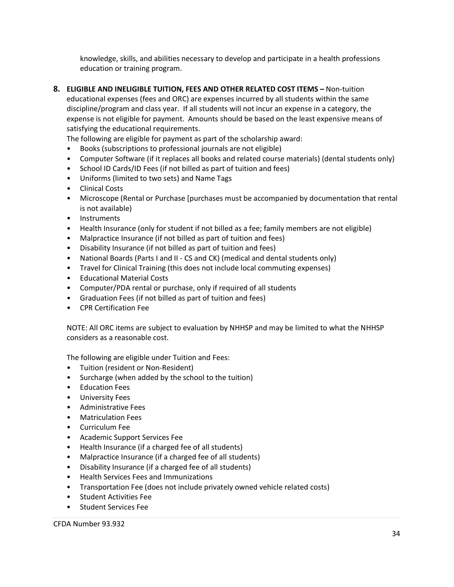knowledge, skills, and abilities necessary to develop and participate in a health professions education or training program.

**8. ELIGIBLE AND INELIGIBLE TUITION, FEES AND OTHER RELATED COST ITEMS –** Non-tuition educational expenses (fees and ORC) are expenses incurred by all students within the same discipline/program and class year. If all students will not incur an expense in a category, the expense is not eligible for payment. Amounts should be based on the least expensive means of satisfying the educational requirements.

The following are eligible for payment as part of the scholarship award:

- Books (subscriptions to professional journals are not eligible)
- Computer Software (if it replaces all books and related course materials) (dental students only)
- School ID Cards/ID Fees (if not billed as part of tuition and fees)
- Uniforms (limited to two sets) and Name Tags
- Clinical Costs
- Microscope (Rental or Purchase [purchases must be accompanied by documentation that rental is not available)
- Instruments
- Health Insurance (only for student if not billed as a fee; family members are not eligible)
- Malpractice Insurance (if not billed as part of tuition and fees)
- Disability Insurance (if not billed as part of tuition and fees)
- National Boards (Parts I and II CS and CK) (medical and dental students only)
- Travel for Clinical Training (this does not include local commuting expenses)
- Educational Material Costs
- Computer/PDA rental or purchase, only if required of all students
- Graduation Fees (if not billed as part of tuition and fees)
- CPR Certification Fee

NOTE: All ORC items are subject to evaluation by NHHSP and may be limited to what the NHHSP considers as a reasonable cost.

The following are eligible under Tuition and Fees:

- Tuition (resident or Non-Resident)
- Surcharge (when added by the school to the tuition)
- Education Fees
- University Fees
- Administrative Fees
- Matriculation Fees
- Curriculum Fee
- Academic Support Services Fee
- Health Insurance (if a charged fee of all students)
- Malpractice Insurance (if a charged fee of all students)
- Disability Insurance (if a charged fee of all students)
- Health Services Fees and Immunizations
- Transportation Fee (does not include privately owned vehicle related costs)
- Student Activities Fee
- Student Services Fee

CFDA Number 93.932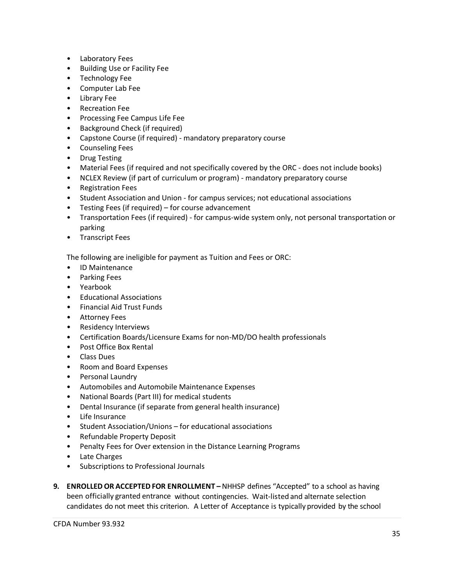- Laboratory Fees
- Building Use or Facility Fee
- Technology Fee
- Computer Lab Fee
- Library Fee
- Recreation Fee
- Processing Fee Campus Life Fee
- Background Check (if required)
- Capstone Course (if required) mandatory preparatory course
- Counseling Fees
- Drug Testing
- Material Fees (if required and not specifically covered by the ORC does not include books)
- NCLEX Review (if part of curriculum or program) mandatory preparatory course
- Registration Fees
- Student Association and Union for campus services; not educational associations
- Testing Fees (if required) for course advancement
- Transportation Fees (if required) for campus-wide system only, not personal transportation or parking
- Transcript Fees

The following are ineligible for payment as Tuition and Fees or ORC:

- ID Maintenance
- Parking Fees
- Yearbook
- Educational Associations
- Financial Aid Trust Funds
- Attorney Fees
- Residency Interviews
- Certification Boards/Licensure Exams for non-MD/DO health professionals
- Post Office Box Rental
- Class Dues
- Room and Board Expenses
- Personal Laundry
- Automobiles and Automobile Maintenance Expenses
- National Boards (Part III) for medical students
- Dental Insurance (if separate from general health insurance)
- Life Insurance
- Student Association/Unions for educational associations
- Refundable Property Deposit
- Penalty Fees for Over extension in the Distance Learning Programs
- Late Charges
- Subscriptions to Professional Journals
- **9. ENROLLEDOR ACCEPTED FOR ENROLLMENT** NHHSP defines "Accepted" to a school as having been officially granted entrance without contingencies. Wait-listed and alternate selection candidates do not meet this criterion. A Letter of Acceptance is typically provided by the school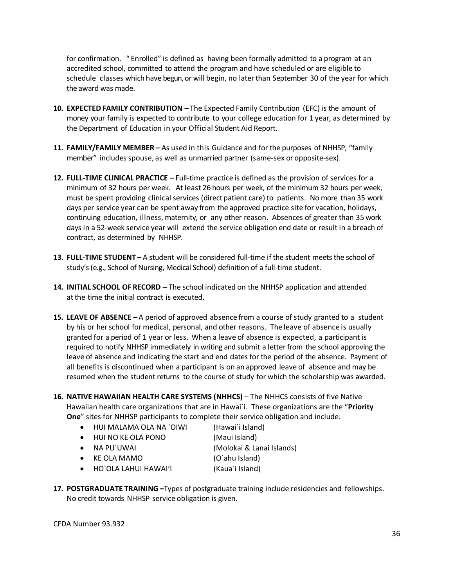for confirmation. " Enrolled" is defined as having been formally admitted to a program at an accredited school, committed to attend the program and have scheduled or are eligible to schedule classes which have begun, or will begin, no laterthan September 30 of the year for which the award was made.

- **10. EXPECTED FAMILY CONTRIBUTION** The Expected Family Contribution (EFC) is the amount of money your family is expected to contribute to your college education for 1 year, as determined by the Department of Education in your Official Student Aid Report.
- **11. FAMILY/FAMILY MEMBER** As used in this Guidance and for the purposes of NHHSP, "family member" includes spouse, as well as unmarried partner (same-sex or opposite-sex).
- **12. FULL-TIME CLINICAL PRACTICE** Full-time practice is defined as the provision of services for a minimum of 32 hours per week. At least 26 hours per week, of the minimum 32 hours per week, must be spent providing clinical services (direct patient care) to patients. No more than 35 work days per service year can be spent away from the approved practice site for vacation, holidays, continuing education, illness, maternity, or any other reason. Absences of greater than 35 work days in a 52-week service year will extend the service obligation end date or result in a breach of contract, as determined by NHHSP.
- **13. FULL-TIME STUDENT** A student will be considered full-time if the student meets the school of study's (e.g., School of Nursing, Medical School) definition of a full-time student.
- **14. INITIAL SCHOOL OF RECORD** The school indicated on the NHHSP application and attended at the time the initial contract is executed.
- **15. LEAVE OF ABSENCE** A period of approved absence from a course of study granted to a student by his or her school for medical, personal, and other reasons. The leave of absence is usually granted for a period of 1 year or less. When a leave of absence is expected, a participant is required to notify NHHSP immediately in writing and submit a letter from the school approving the leave of absence and indicating the start and end dates for the period of the absence. Payment of all benefits is discontinued when a participant is on an approved leave of absence and may be resumed when the student returns to the course of study for which the scholarship was awarded.
- **16. NATIVE HAWAIIAN HEALTH CARE SYSTEMS (NHHCS)**  The NHHCS consists of five Native Hawaiian health care organizations that are in Hawai`i. These organizations are the "**Priority One**" sites for NHHSP participants to complete their service obligation and include:
	- HUI MALAMA OLA NA `OIWI (Hawai`i Island)
	- HUI NO KE OLA PONO (Maui Island)
	-
	-
	- KE OLA MAMO (O`ahu Island)
	- NA PU`UWAI (Molokai & Lanai Islands)
	- HO`OLA LAHUI HAWAI'I (Kaua`i Island)
- **17. POSTGRADUATE TRAINING –**Types of postgraduate training include residencies and fellowships. No credit towards NHHSP service obligation is given.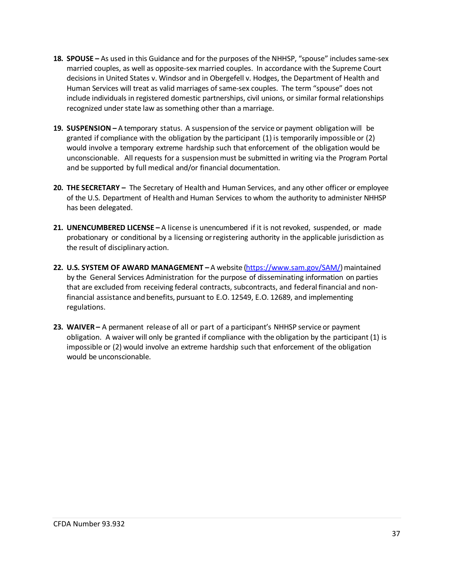- **18. SPOUSE** As used in this Guidance and for the purposes of the NHHSP, "spouse" includes same-sex married couples, as well as opposite-sex married couples. In accordance with the Supreme Court decisions in United States v. Windsor and in Obergefell v. Hodges, the Department of Health and Human Services will treat as valid marriages of same-sex couples. The term "spouse" does not include individuals in registered domestic partnerships, civil unions, or similar formal relationships recognized under state law as something other than a marriage.
- **19. SUSPENSION** A temporary status. A suspensionof the service or payment obligation will be granted if compliance with the obligation by the participant (1) is temporarily impossible or (2) would involve a temporary extreme hardship such that enforcement of the obligation would be unconscionable. All requests for a suspension must be submitted in writing via the Program Portal and be supported by full medical and/or financial documentation.
- **20. THE SECRETARY** The Secretary of Health and Human Services, and any other officer or employee of the U.S. Department of Health and Human Services to whom the authority to administer NHHSP has been delegated.
- **21. UNENCUMBERED LICENSE** A license is unencumbered if it is not revoked, suspended, or made probationary or conditional by a licensing or registering authority in the applicable jurisdiction as the result of disciplinary action.
- **22. U.S. SYSTEM OF AWARD MANAGEMENT** A website [\(https://www.sam.gov/SAM/\)](https://www.sam.gov/SAM/) maintained by the General Services Administration for the purpose of disseminating information on parties that are excluded from receiving federal contracts, subcontracts, and federal financial and nonfinancial assistance andbenefits, pursuant to E.O. 12549, E.O. 12689, and implementing regulations.
- **23. WAIVER** A permanent release of all or part of a participant's NHHSP service or payment obligation. A waiver will only be granted if compliance with the obligation by the participant (1) is impossible or (2) would involve an extreme hardship such that enforcement of the obligation would be unconscionable.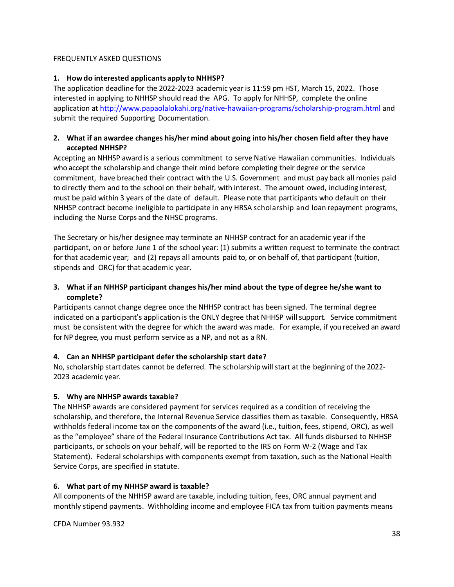# <span id="page-37-0"></span>FREQUENTLY ASKED QUESTIONS

# **1. Howdo interested applicants apply to NHHSP?**

The application deadline for the 2022-2023 academic year is 11:59 pm HST, March 15, 2022. Those interested in applying to NHHSP should read the APG. To apply for NHHSP, complete the online application at<http://www.papaolalokahi.org/native-hawaiian-programs/scholarship-program.html> and submit the required Supporting Documentation.

# **2. What if an awardee changes his/her mind about going into his/her chosen field after they have accepted NHHSP?**

Accepting an NHHSP award is a serious commitment to serve Native Hawaiian communities. Individuals who accept the scholarship and change their mind before completing their degree or the service commitment, have breached their contract with the U.S. Government and must pay back all monies paid to directly them and to the school on their behalf, with interest. The amount owed, including interest, must be paid within 3 years of the date of default. Please note that participants who default on their NHHSP contract become ineligible to participate in any HRSA scholarship and loan repayment programs, including the Nurse Corps and the NHSC programs.

The Secretary or his/her designeemay terminate an NHHSP contract for an academic year if the participant, on or before June 1 of the school year: (1) submits a written request to terminate the contract for that academic year; and (2) repays all amounts paid to, or on behalf of, that participant (tuition, stipends and ORC) for that academic year.

# **3. What if an NHHSP participant changes his/her mind about the type of degree he/she want to complete?**

Participants cannot change degree once the NHHSP contract has been signed. The terminal degree indicated on a participant's application is the ONLY degree that NHHSP will support. Service commitment must be consistent with the degree for which the award was made. For example, if you received an award for NP degree, you must perform service as a NP, and not as a RN.

# **4. Can an NHHSP participant defer the scholarship start date?**

No, scholarship start dates cannot be deferred. The scholarship will start at the beginning of the 2022-2023 academic year.

# **5. Why are NHHSP awards taxable?**

The NHHSP awards are considered payment for services required as a condition of receiving the scholarship, and therefore, the Internal Revenue Service classifies them as taxable. Consequently, HRSA withholds federal income tax on the components of the award (i.e., tuition, fees, stipend, ORC), as well as the "employee" share of the Federal Insurance Contributions Act tax. All funds disbursed to NHHSP participants, or schools on your behalf, will be reported to the IRS on Form W-2 (Wage and Tax Statement). Federal scholarships with components exempt from taxation, such as the National Health Service Corps, are specified in statute.

# **6. What part of my NHHSP award is taxable?**

All components of the NHHSP award are taxable, including tuition, fees, ORC annual payment and monthly stipend payments. Withholding income and employee FICA tax from tuition payments means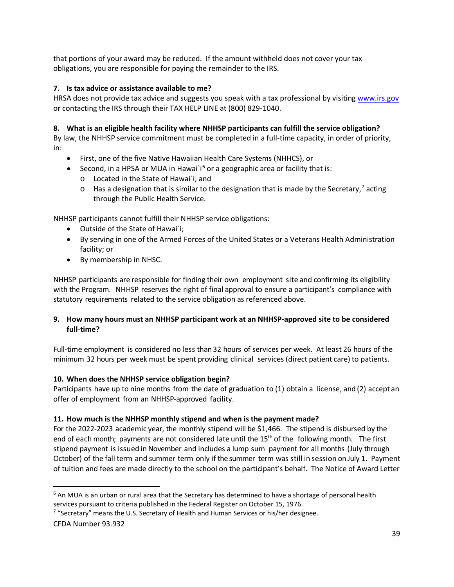that portions of your award may be reduced. If the amount withheld does not cover your tax obligations, you are responsible for paying the remainder to the IRS.

# **7. Is tax advice or assistance available to me?**

HRSA does not provide tax advice and suggests you speak with a tax professional by visiting [www.irs.gov](https://www.irs.gov/) or contacting the IRS through their TAX HELP LINE at (800) 829-1040.

# **8. What is an eligible health facility where NHHSP participants can fulfill the service obligation?**

By law, the NHHSP service commitment must be completed in a full-time capacity, in order of priority, in:

- First, one of the five Native Hawaiian Health Care Systems (NHHCS), or
- Second, in a HPSA or MUA in Hawai`i<sup>[6](#page-38-0)</sup> or a geographic area or facility that is: o Located in the State of Hawai`i; and
	- $\circ$  Has a designation that is similar to the designation that is made by the Secretary,<sup>[7](#page-38-1)</sup> acting through the Public Health Service.

NHHSP participants cannot fulfill their NHHSP service obligations:

- Outside of the State of Hawai`i;
- By serving in one of the Armed Forces of the United States or a Veterans Health Administration facility; or
- By membership in NHSC.

NHHSP participants are responsible for finding their own employment site and confirming its eligibility with the Program. NHHSP reserves the right of final approval to ensure a participant's compliance with statutory requirements related to the service obligation as referenced above.

# **9. How many hours must an NHHSP participant work at an NHHSP-approved site to be considered full-time?**

Full-time employment is considered no less than32 hours of services per week. At least 26 hours of the minimum 32 hours per week must be spent providing clinical services (direct patient care) to patients.

# **10. When does the NHHSP service obligation begin?**

Participants have up to nine months from the date of graduation to (1) obtain a license, and (2) accept an offer of employment from an NHHSP-approved facility.

# **11. How much is the NHHSP monthly stipend and when is the payment made?**

For the 2022-2023 academic year, the monthly stipend will be \$1,466. The stipend is disbursed by the end of each month; payments are not considered late until the 15<sup>th</sup> of the following month. The first stipend payment is issued in November and includes a lump sum payment for all months (July through October) of the fall term and summer term only if the summer term was still in session onJuly 1. Payment of tuition and fees are made directly to the school on the participant's behalf. The Notice of Award Letter

<span id="page-38-1"></span><sup>7</sup> "Secretary" means the U.S. Secretary of Health and Human Services or his/her designee.

 $\overline{a}$ 

<span id="page-38-0"></span><sup>&</sup>lt;sup>6</sup> An MUA is an urban or rural area that the Secretary has determined to have a shortage of personal health services pursuant to criteria published in the Federal Register on October 15, 1976.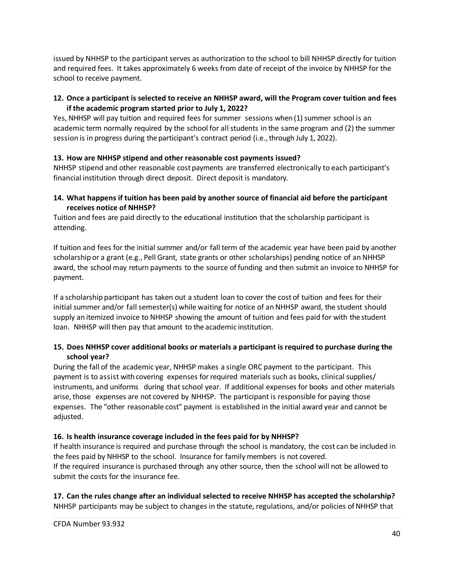issued by NHHSP to the participant serves as authorization to the school to bill NHHSP directly for tuition and required fees. It takes approximately 6 weeks from date of receipt of the invoice by NHHSP for the school to receive payment.

# **12. Once a participant is selected to receive an NHHSP award, will the Program cover tuition and fees if the academic program started prior to July 1, 2022?**

Yes, NHHSP will pay tuition and required fees for summer sessions when (1) summer school is an academic term normally required by the school for all students in the same program and (2) the summer session is in progress during the participant's contract period (i.e., through July 1, 2022).

# **13. How are NHHSP stipend and other reasonable cost payments issued?**

NHHSP stipend and other reasonable cost payments are transferred electronically to each participant's financial institution through direct deposit. Direct deposit is mandatory.

# **14. What happens if tuition has been paid by another source of financial aid before the participant receives notice of NHHSP?**

Tuition and fees are paid directly to the educational institution that the scholarship participant is attending.

If tuition and fees for the initial summer and/or fall term of the academic year have been paid by another scholarship or a grant (e.g., Pell Grant, state grants or other scholarships) pending notice of an NHHSP award, the school may return payments to the source of funding and then submit an invoice to NHHSP for payment.

If a scholarship participant has taken out a student loan to cover the cost of tuition and fees for their initial summer and/or fall semester(s) while waiting for notice of an NHHSP award, the student should supply an itemized invoice to NHHSP showing the amount of tuition and fees paid for with the student loan. NHHSP will then pay that amount to the academic institution.

# **15. Does NHHSP cover additional books or materials a participant is required to purchase during the school year?**

During the fall of the academic year, NHHSP makes a single ORC payment to the participant. This payment is to assist with covering expenses for required materials such as books, clinical supplies/ instruments, and uniforms during that school year. If additional expenses for books and other materials arise, those expenses are not covered by NHHSP. The participant is responsible for paying those expenses. The "other reasonable cost" payment is established in the initial award year and cannot be adjusted.

# **16. Is health insurance coverage included in the fees paid for by NHHSP?**

If health insurance is required and purchase through the school is mandatory, the cost can be included in the fees paid by NHHSP to the school. Insurance for family members is not covered. If the required insurance is purchased through any other source, then the school will not be allowed to submit the costs for the insurance fee.

# **17. Can the rules change after an individual selected to receive NHHSP has accepted the scholarship?** NHHSP participants may be subject to changes in the statute, regulations, and/or policies of NHHSP that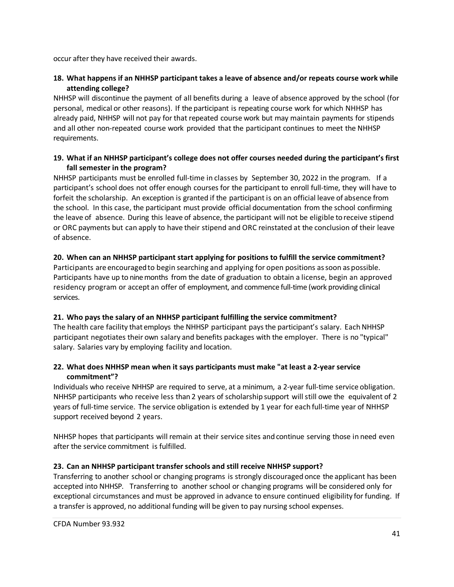occur after they have received their awards.

# **18. What happens if an NHHSP participant takes a leave of absence and/or repeats course work while attending college?**

NHHSP will discontinue the payment of all benefits during a leave of absence approved by the school (for personal, medical or other reasons). If the participant is repeating course work for which NHHSP has already paid, NHHSP will not pay for that repeated course work but may maintain payments for stipends and all other non-repeated course work provided that the participant continues to meet the NHHSP requirements.

# **19. What if an NHHSP participant's college does not offer courses needed during the participant's first fall semester in the program?**

NHHSP participants must be enrolled full-time in classes by September 30, 2022 in the program. If a participant's school does not offer enough courses for the participant to enroll full-time, they will have to forfeit the scholarship. An exception is granted if the participant is on an official leave of absence from the school. In this case, the participant must provide official documentation from the school confirming the leave of absence. During this leave of absence, the participant will not be eligible toreceive stipend or ORC payments but can apply to have their stipend and ORC reinstated at the conclusion of their leave of absence.

#### **20. When can an NHHSP participant start applying for positions to fulfill the service commitment?**

Participants are encouragedto begin searching and applying for open positions as soon as possible. Participants have up to ninemonths from the date of graduation to obtain a license, begin an approved residency program or accept an offer of employment, and commence full-time (work providing clinical services.

# **21. Who pays the salary of an NHHSP participant fulfilling the service commitment?**

The health care facility that employs the NHHSP participant pays the participant's salary. Each NHHSP participant negotiates their own salary and benefits packages with the employer. There is no "typical" salary. Salaries vary by employing facility and location.

# **22. What does NHHSP mean when it says participants must make "at least a 2-year service commitment"?**

Individuals who receive NHHSP are required to serve, at a minimum, a 2-year full-time service obligation. NHHSP participants who receive less than 2 years of scholarship support willstill owe the equivalent of 2 years of full-time service. The service obligation is extended by 1 year for each full-time year of NHHSP support received beyond 2 years.

NHHSP hopes that participants will remain at their service sites and continue serving those in need even after the service commitment is fulfilled.

# **23. Can an NHHSP participant transfer schools and still receive NHHSP support?**

Transferring to another school or changing programs is strongly discouraged once the applicant has been accepted into NHHSP. Transferring to another school or changing programs will be considered only for exceptional circumstances and must be approved in advance to ensure continued eligibility for funding. If a transfer is approved, no additional funding will be given to pay nursing school expenses.